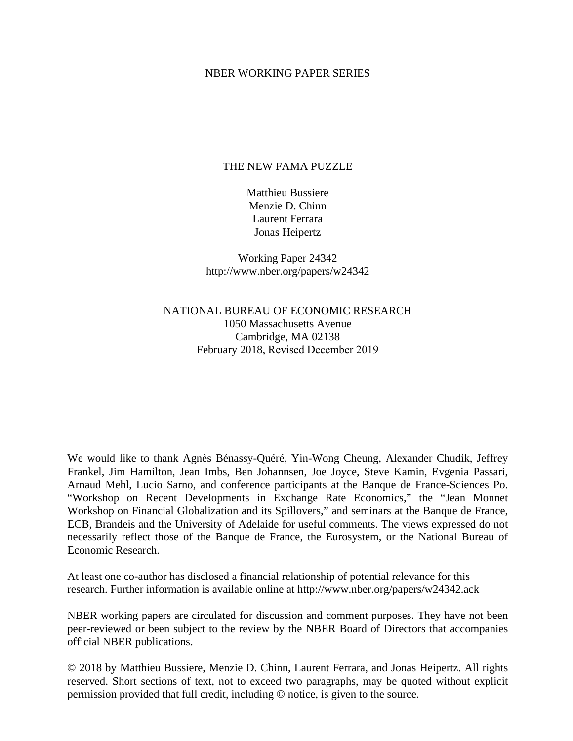### NBER WORKING PAPER SERIES

## THE NEW FAMA PUZZLE

Matthieu Bussiere Menzie D. Chinn Laurent Ferrara Jonas Heipertz

Working Paper 24342 http://www.nber.org/papers/w24342

NATIONAL BUREAU OF ECONOMIC RESEARCH 1050 Massachusetts Avenue Cambridge, MA 02138 February 2018, Revised December 2019

We would like to thank Agnès Bénassy-Quéré, Yin-Wong Cheung, Alexander Chudik, Jeffrey Frankel, Jim Hamilton, Jean Imbs, Ben Johannsen, Joe Joyce, Steve Kamin, Evgenia Passari, Arnaud Mehl, Lucio Sarno, and conference participants at the Banque de France-Sciences Po. "Workshop on Recent Developments in Exchange Rate Economics," the "Jean Monnet Workshop on Financial Globalization and its Spillovers," and seminars at the Banque de France, ECB, Brandeis and the University of Adelaide for useful comments. The views expressed do not necessarily reflect those of the Banque de France, the Eurosystem, or the National Bureau of Economic Research.

At least one co-author has disclosed a financial relationship of potential relevance for this research. Further information is available online at http://www.nber.org/papers/w24342.ack

NBER working papers are circulated for discussion and comment purposes. They have not been peer-reviewed or been subject to the review by the NBER Board of Directors that accompanies official NBER publications.

© 2018 by Matthieu Bussiere, Menzie D. Chinn, Laurent Ferrara, and Jonas Heipertz. All rights reserved. Short sections of text, not to exceed two paragraphs, may be quoted without explicit permission provided that full credit, including © notice, is given to the source.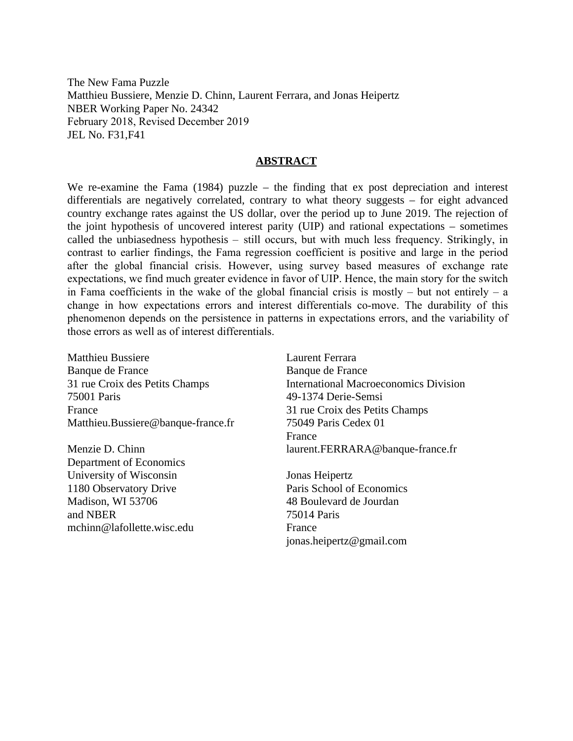The New Fama Puzzle Matthieu Bussiere, Menzie D. Chinn, Laurent Ferrara, and Jonas Heipertz NBER Working Paper No. 24342 February 2018, Revised December 2019 JEL No. F31,F41

## **ABSTRACT**

We re-examine the Fama (1984) puzzle – the finding that ex post depreciation and interest differentials are negatively correlated, contrary to what theory suggests – for eight advanced country exchange rates against the US dollar, over the period up to June 2019. The rejection of the joint hypothesis of uncovered interest parity (UIP) and rational expectations – sometimes called the unbiasedness hypothesis – still occurs, but with much less frequency. Strikingly, in contrast to earlier findings, the Fama regression coefficient is positive and large in the period after the global financial crisis. However, using survey based measures of exchange rate expectations, we find much greater evidence in favor of UIP. Hence, the main story for the switch in Fama coefficients in the wake of the global financial crisis is mostly – but not entirely – a change in how expectations errors and interest differentials co-move. The durability of this phenomenon depends on the persistence in patterns in expectations errors, and the variability of those errors as well as of interest differentials.

Matthieu Bussiere Banque de France 31 rue Croix des Petits Champs 75001 Paris France Matthieu.Bussiere@banque-france.fr

Menzie D. Chinn Department of Economics University of Wisconsin 1180 Observatory Drive Madison, WI 53706 and NBER mchinn@lafollette.wisc.edu Laurent Ferrara Banque de France International Macroeconomics Division 49-1374 Derie-Semsi 31 rue Croix des Petits Champs 75049 Paris Cedex 01 France laurent.FERRARA@banque-france.fr

Jonas Heipertz Paris School of Economics 48 Boulevard de Jourdan 75014 Paris France jonas.heipertz@gmail.com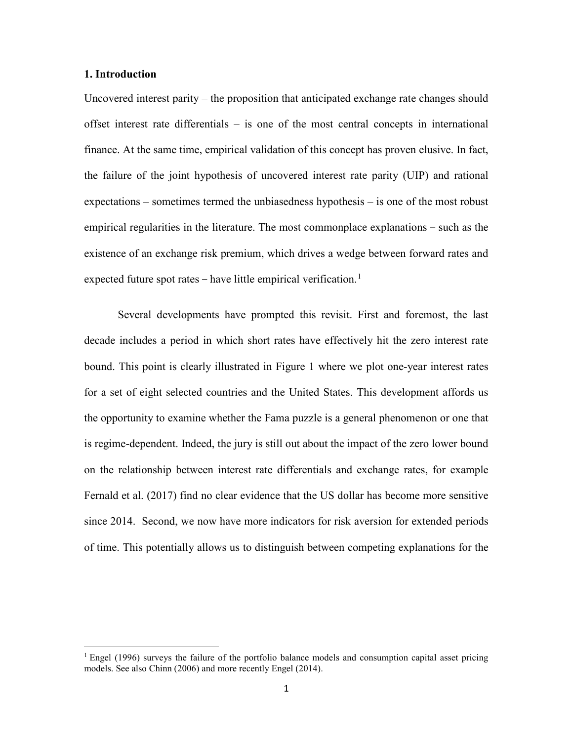### **1. Introduction**

l

Uncovered interest parity – the proposition that anticipated exchange rate changes should offset interest rate differentials – is one of the most central concepts in international finance. At the same time, empirical validation of this concept has proven elusive. In fact, the failure of the joint hypothesis of uncovered interest rate parity (UIP) and rational expectations – sometimes termed the unbiasedness hypothesis – is one of the most robust empirical regularities in the literature. The most commonplace explanations – such as the existence of an exchange risk premium, which drives a wedge between forward rates and expected future spot rates – have little empirical verification.<sup>[1](#page-2-0)</sup>

Several developments have prompted this revisit. First and foremost, the last decade includes a period in which short rates have effectively hit the zero interest rate bound. This point is clearly illustrated in [Figure 1](#page-23-0) where we plot one-year interest rates for a set of eight selected countries and the United States. This development affords us the opportunity to examine whether the Fama puzzle is a general phenomenon or one that is regime-dependent. Indeed, the jury is still out about the impact of the zero lower bound on the relationship between interest rate differentials and exchange rates, for example Fernald et al. (2017) find no clear evidence that the US dollar has become more sensitive since 2014. Second, we now have more indicators for risk aversion for extended periods of time. This potentially allows us to distinguish between competing explanations for the

<span id="page-2-0"></span> $1$  Engel (1996) surveys the failure of the portfolio balance models and consumption capital asset pricing models. See also Chinn (2006) and more recently Engel (2014).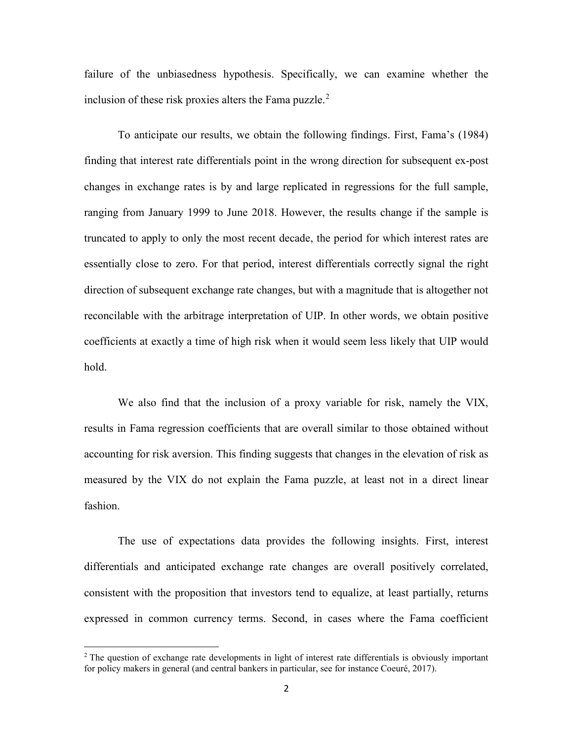failure of the unbiasedness hypothesis. Specifically, we can examine whether the inclusion of these risk proxies alters the Fama puzzle. $2$ 

To anticipate our results, we obtain the following findings. First, Fama's (1984) finding that interest rate differentials point in the wrong direction for subsequent ex-post changes in exchange rates is by and large replicated in regressions for the full sample, ranging from January 1999 to June 2018. However, the results change if the sample is truncated to apply to only the most recent decade, the period for which interest rates are essentially close to zero. For that period, interest differentials correctly signal the right direction of subsequent exchange rate changes, but with a magnitude that is altogether not reconcilable with the arbitrage interpretation of UIP. In other words, we obtain positive coefficients at exactly a time of high risk when it would seem less likely that UIP would hold.

We also find that the inclusion of a proxy variable for risk, namely the VIX, results in Fama regression coefficients that are overall similar to those obtained without accounting for risk aversion. This finding suggests that changes in the elevation of risk as measured by the VIX do not explain the Fama puzzle, at least not in a direct linear fashion.

The use of expectations data provides the following insights. First, interest differentials and anticipated exchange rate changes are overall positively correlated, consistent with the proposition that investors tend to equalize, at least partially, returns expressed in common currency terms. Second, in cases where the Fama coefficient

<span id="page-3-0"></span> $2$  The question of exchange rate developments in light of interest rate differentials is obviously important for policy makers in general (and central bankers in particular, see for instance Coeuré, 2017).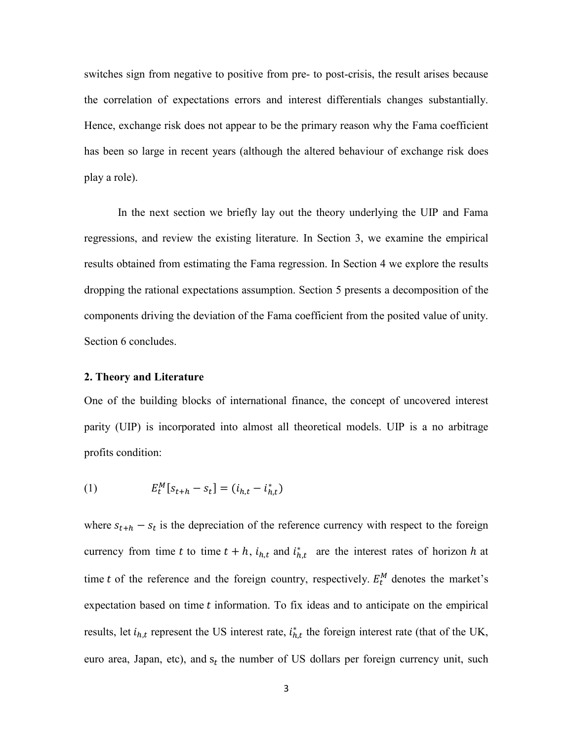switches sign from negative to positive from pre- to post-crisis, the result arises because the correlation of expectations errors and interest differentials changes substantially. Hence, exchange risk does not appear to be the primary reason why the Fama coefficient has been so large in recent years (although the altered behaviour of exchange risk does play a role).

In the next section we briefly lay out the theory underlying the UIP and Fama regressions, and review the existing literature. In Section 3, we examine the empirical results obtained from estimating the Fama regression. In Section 4 we explore the results dropping the rational expectations assumption. Section 5 presents a decomposition of the components driving the deviation of the Fama coefficient from the posited value of unity. Section 6 concludes.

### **2. Theory and Literature**

One of the building blocks of international finance, the concept of uncovered interest parity (UIP) is incorporated into almost all theoretical models. UIP is a no arbitrage profits condition:

(1) 
$$
E_t^M[s_{t+h} - s_t] = (i_{h,t} - i_{h,t}^*)
$$

where  $s_{t+h} - s_t$  is the depreciation of the reference currency with respect to the foreign currency from time t to time  $t + h$ ,  $i_{h,t}$  and  $i_{h,t}^*$  are the interest rates of horizon h at time t of the reference and the foreign country, respectively.  $E_t^M$  denotes the market's expectation based on time  $t$  information. To fix ideas and to anticipate on the empirical results, let  $i_{h,t}$  represent the US interest rate,  $i_{h,t}^*$  the foreign interest rate (that of the UK, euro area, Japan, etc), and  $s_t$  the number of US dollars per foreign currency unit, such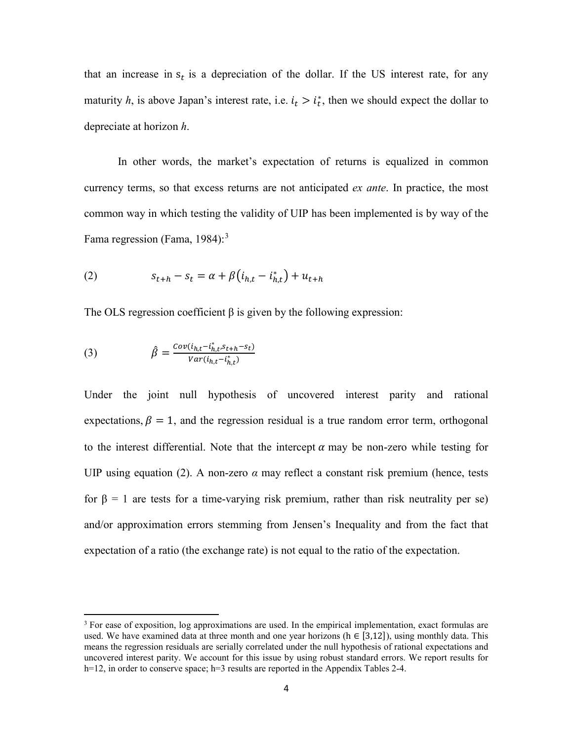that an increase in  $s_t$  is a depreciation of the dollar. If the US interest rate, for any maturity *h*, is above Japan's interest rate, i.e.  $i_t > i_t^*$ , then we should expect the dollar to depreciate at horizon *h*.

In other words, the market's expectation of returns is equalized in common currency terms, so that excess returns are not anticipated *ex ante*. In practice, the most common way in which testing the validity of UIP has been implemented is by way of the Fama regression (Fama, 1984): $3$ 

(2) 
$$
s_{t+h} - s_t = \alpha + \beta (i_{h,t} - i_{h,t}^*) + u_{t+h}
$$

The OLS regression coefficient  $\beta$  is given by the following expression:

(3) 
$$
\hat{\beta} = \frac{Cov(i_{h,t} - i_{h,t}^* s_{t+h} - s_t)}{Var(i_{h,t} - i_{h,t}^*)}
$$

 $\overline{a}$ 

Under the joint null hypothesis of uncovered interest parity and rational expectations,  $\beta = 1$ , and the regression residual is a true random error term, orthogonal to the interest differential. Note that the intercept  $\alpha$  may be non-zero while testing for UIP using equation (2). A non-zero  $\alpha$  may reflect a constant risk premium (hence, tests for β = 1 are tests for a time-varying risk premium, rather than risk neutrality per se) and/or approximation errors stemming from Jensen's Inequality and from the fact that expectation of a ratio (the exchange rate) is not equal to the ratio of the expectation.

<span id="page-5-0"></span> $3$  For ease of exposition, log approximations are used. In the empirical implementation, exact formulas are used. We have examined data at three month and one year horizons ( $h \in [3,12]$ ), using monthly data. This means the regression residuals are serially correlated under the null hypothesis of rational expectations and uncovered interest parity. We account for this issue by using robust standard errors. We report results for h=12, in order to conserve space; h=3 results are reported in the Appendix Tables 2-4.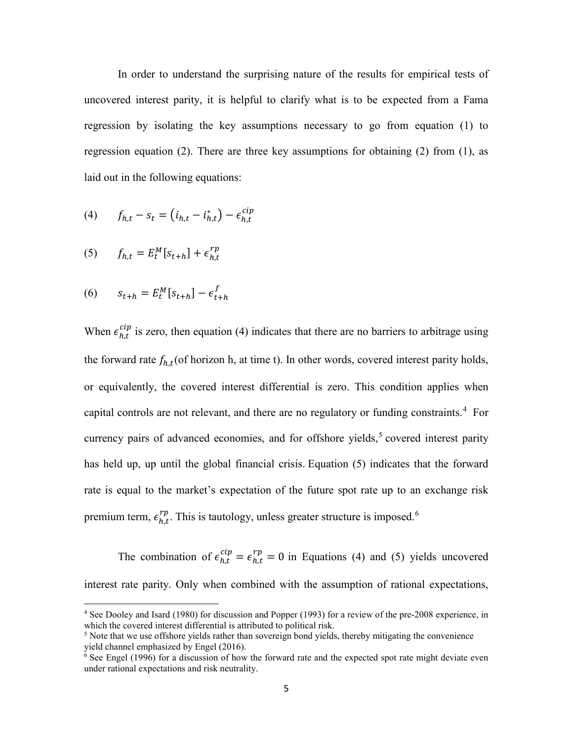In order to understand the surprising nature of the results for empirical tests of uncovered interest parity, it is helpful to clarify what is to be expected from a Fama regression by isolating the key assumptions necessary to go from equation (1) to regression equation (2). There are three key assumptions for obtaining (2) from (1), as laid out in the following equations:

(4) 
$$
f_{h,t} - s_t = (i_{h,t} - i_{h,t}^*) - \epsilon_{h,t}^{clip}
$$

$$
(5) \qquad f_{h,t} = E_t^M[s_{t+h}] + \epsilon_{h,t}^{rp}
$$

$$
(6) \qquad s_{t+h} = E_t^M[s_{t+h}] - \epsilon_{t+h}^J
$$

 $\overline{a}$ 

When  $\epsilon_{h,t}^{cup}$  is zero, then equation (4) indicates that there are no barriers to arbitrage using the forward rate  $f_{h,t}$ (of horizon h, at time t). In other words, covered interest parity holds, or equivalently, the covered interest differential is zero. This condition applies when capital controls are not relevant, and there are no regulatory or funding constraints. [4](#page-6-0) For currency pairs of advanced economies, and for offshore yields,<sup>[5](#page-6-1)</sup> covered interest parity has held up, up until the global financial crisis. Equation (5) indicates that the forward rate is equal to the market's expectation of the future spot rate up to an exchange risk premium term,  $\epsilon_{h,t}^{rp}$ . This is tautology, unless greater structure is imposed.<sup>[6](#page-6-2)</sup>

The combination of  $\epsilon_{h,t}^{cup} = \epsilon_{h,t}^{rp} = 0$  in Equations (4) and (5) yields uncovered interest rate parity. Only when combined with the assumption of rational expectations,

<span id="page-6-0"></span><sup>4</sup> See Dooley and Isard (1980) for discussion and Popper (1993) for a review of the pre-2008 experience, in which the covered interest differential is attributed to political risk.

<span id="page-6-1"></span><sup>&</sup>lt;sup>5</sup> Note that we use offshore yields rather than sovereign bond yields, thereby mitigating the convenience yield channel emphasized by Engel (2016).

<span id="page-6-2"></span> $6$  See Engel (1996) for a discussion of how the forward rate and the expected spot rate might deviate even under rational expectations and risk neutrality.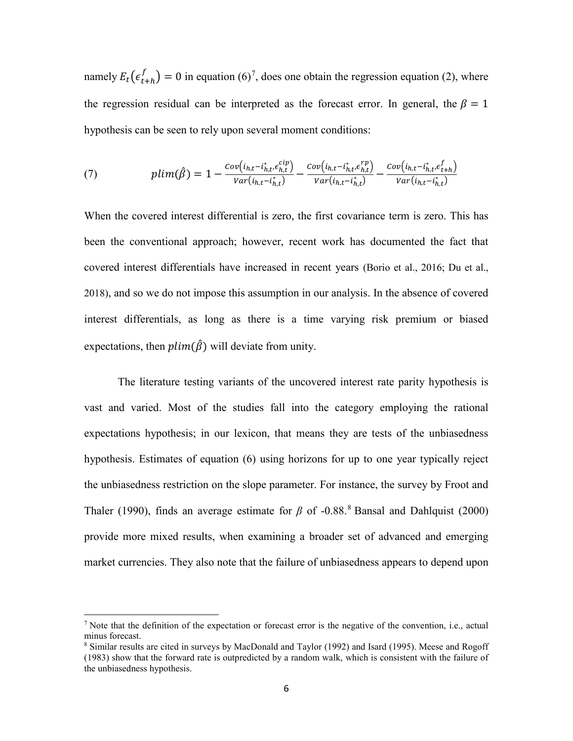namely  $E_t(e_{t+h}^f) = 0$  in equation (6)<sup>[7](#page-7-0)</sup>, does one obtain the regression equation (2), where the regression residual can be interpreted as the forecast error. In general, the  $\beta = 1$ hypothesis can be seen to rely upon several moment conditions:

(7) 
$$
plim(\hat{\beta}) = 1 - \frac{Cov(i_{h,t} - i_{h,t}^*, \epsilon_{h,t}^{clip})}{Var(i_{h,t} - i_{h,t}^*)} - \frac{Cov(i_{h,t} - i_{h,t}^*, \epsilon_{h,t}^{rp})}{Var(i_{h,t} - i_{h,t}^*)} - \frac{Cov(i_{h,t} - i_{h,t}^*, \epsilon_{t+h}^{fn})}{Var(i_{h,t} - i_{h,t}^*)}
$$

When the covered interest differential is zero, the first covariance term is zero. This has been the conventional approach; however, recent work has documented the fact that covered interest differentials have increased in recent years (Borio et al., 2016; Du et al., 2018), and so we do not impose this assumption in our analysis. In the absence of covered interest differentials, as long as there is a time varying risk premium or biased expectations, then  $plim(\hat{\beta})$  will deviate from unity.

The literature testing variants of the uncovered interest rate parity hypothesis is vast and varied. Most of the studies fall into the category employing the rational expectations hypothesis; in our lexicon, that means they are tests of the unbiasedness hypothesis. Estimates of equation (6) using horizons for up to one year typically reject the unbiasedness restriction on the slope parameter. For instance, the survey by Froot and Thaler (1990), finds an average estimate for  $\beta$  of -0.[8](#page-7-1)8.<sup>8</sup> Bansal and Dahlquist (2000) provide more mixed results, when examining a broader set of advanced and emerging market currencies. They also note that the failure of unbiasedness appears to depend upon

 $\overline{\phantom{a}}$ 

<span id="page-7-0"></span><sup>&</sup>lt;sup>7</sup> Note that the definition of the expectation or forecast error is the negative of the convention, i.e., actual minus forecast.

<span id="page-7-1"></span><sup>8</sup> Similar results are cited in surveys by MacDonald and Taylor (1992) and Isard (1995). Meese and Rogoff (1983) show that the forward rate is outpredicted by a random walk, which is consistent with the failure of the unbiasedness hypothesis.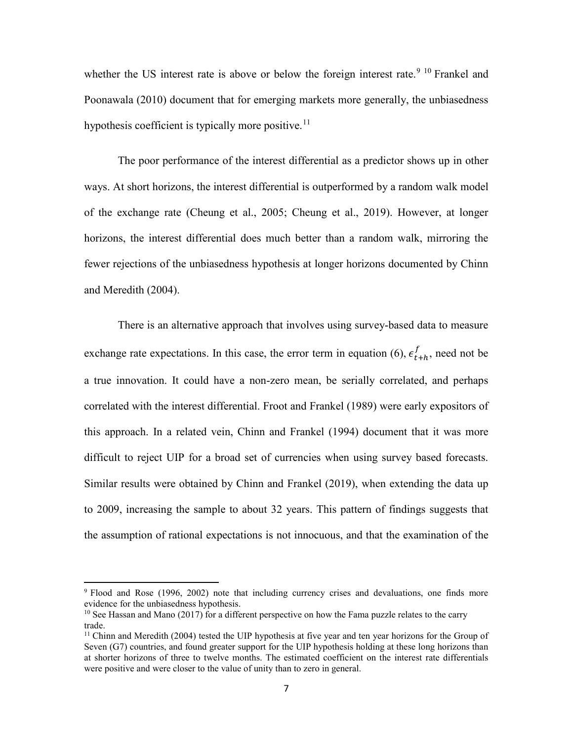whether the US interest rate is above or below the foreign interest rate.<sup>[9](#page-8-0) [10](#page-8-1)</sup> Frankel and Poonawala (2010) document that for emerging markets more generally, the unbiasedness hypothesis coefficient is typically more positive.<sup>[11](#page-8-2)</sup>

The poor performance of the interest differential as a predictor shows up in other ways. At short horizons, the interest differential is outperformed by a random walk model of the exchange rate (Cheung et al., 2005; Cheung et al., 2019). However, at longer horizons, the interest differential does much better than a random walk, mirroring the fewer rejections of the unbiasedness hypothesis at longer horizons documented by Chinn and Meredith (2004).

There is an alternative approach that involves using survey-based data to measure exchange rate expectations. In this case, the error term in equation (6),  $\epsilon_{t+h}^{f}$ , need not be a true innovation. It could have a non-zero mean, be serially correlated, and perhaps correlated with the interest differential. Froot and Frankel (1989) were early expositors of this approach. In a related vein, Chinn and Frankel (1994) document that it was more difficult to reject UIP for a broad set of currencies when using survey based forecasts. Similar results were obtained by Chinn and Frankel (2019), when extending the data up to 2009, increasing the sample to about 32 years. This pattern of findings suggests that the assumption of rational expectations is not innocuous, and that the examination of the

<span id="page-8-0"></span><sup>9</sup> Flood and Rose (1996, 2002) note that including currency crises and devaluations, one finds more evidence for the unbiasedness hypothesis.

<span id="page-8-1"></span> $10$  See Hassan and Mano (2017) for a different perspective on how the Fama puzzle relates to the carry trade.

<span id="page-8-2"></span> $11$  Chinn and Meredith (2004) tested the UIP hypothesis at five year and ten year horizons for the Group of Seven (G7) countries, and found greater support for the UIP hypothesis holding at these long horizons than at shorter horizons of three to twelve months. The estimated coefficient on the interest rate differentials were positive and were closer to the value of unity than to zero in general.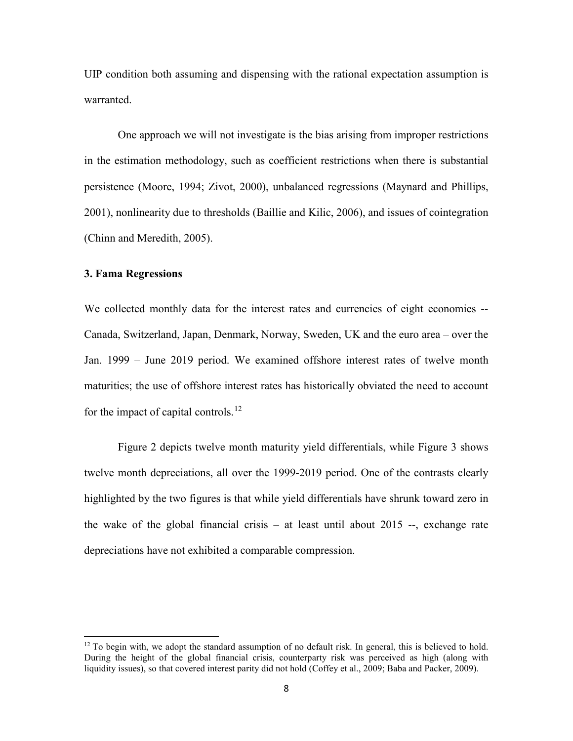UIP condition both assuming and dispensing with the rational expectation assumption is warranted.

One approach we will not investigate is the bias arising from improper restrictions in the estimation methodology, such as coefficient restrictions when there is substantial persistence (Moore, 1994; Zivot, 2000), unbalanced regressions (Maynard and Phillips, 2001), nonlinearity due to thresholds (Baillie and Kilic, 2006), and issues of cointegration (Chinn and Meredith, 2005).

### **3. Fama Regressions**

l

We collected monthly data for the interest rates and currencies of eight economies -- Canada, Switzerland, Japan, Denmark, Norway, Sweden, UK and the euro area – over the Jan. 1999 – June 2019 period. We examined offshore interest rates of twelve month maturities; the use of offshore interest rates has historically obviated the need to account for the impact of capital controls.<sup>[12](#page-9-0)</sup>

[Figure 2](#page-23-1) depicts twelve month maturity yield differentials, while [Figure 3](#page-24-0) shows twelve month depreciations, all over the 1999-2019 period. One of the contrasts clearly highlighted by the two figures is that while yield differentials have shrunk toward zero in the wake of the global financial crisis – at least until about 2015 --, exchange rate depreciations have not exhibited a comparable compression.

<span id="page-9-0"></span> $12$  To begin with, we adopt the standard assumption of no default risk. In general, this is believed to hold. During the height of the global financial crisis, counterparty risk was perceived as high (along with liquidity issues), so that covered interest parity did not hold (Coffey et al., 2009; Baba and Packer, 2009).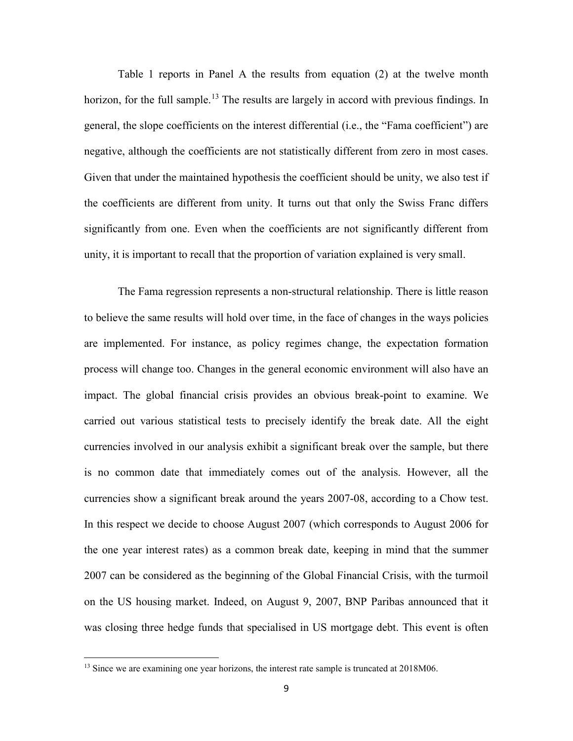Table 1 reports in Panel A the results from equation (2) at the twelve month horizon, for the full sample.<sup>[13](#page-10-0)</sup> The results are largely in accord with previous findings. In general, the slope coefficients on the interest differential (i.e., the "Fama coefficient") are negative, although the coefficients are not statistically different from zero in most cases. Given that under the maintained hypothesis the coefficient should be unity, we also test if the coefficients are different from unity. It turns out that only the Swiss Franc differs significantly from one. Even when the coefficients are not significantly different from unity, it is important to recall that the proportion of variation explained is very small.

The Fama regression represents a non-structural relationship. There is little reason to believe the same results will hold over time, in the face of changes in the ways policies are implemented. For instance, as policy regimes change, the expectation formation process will change too. Changes in the general economic environment will also have an impact. The global financial crisis provides an obvious break-point to examine. We carried out various statistical tests to precisely identify the break date. All the eight currencies involved in our analysis exhibit a significant break over the sample, but there is no common date that immediately comes out of the analysis. However, all the currencies show a significant break around the years 2007-08, according to a Chow test. In this respect we decide to choose August 2007 (which corresponds to August 2006 for the one year interest rates) as a common break date, keeping in mind that the summer 2007 can be considered as the beginning of the Global Financial Crisis, with the turmoil on the US housing market. Indeed, on August 9, 2007, BNP Paribas announced that it was closing three hedge funds that specialised in US mortgage debt. This event is often

<span id="page-10-0"></span><sup>&</sup>lt;sup>13</sup> Since we are examining one year horizons, the interest rate sample is truncated at 2018M06.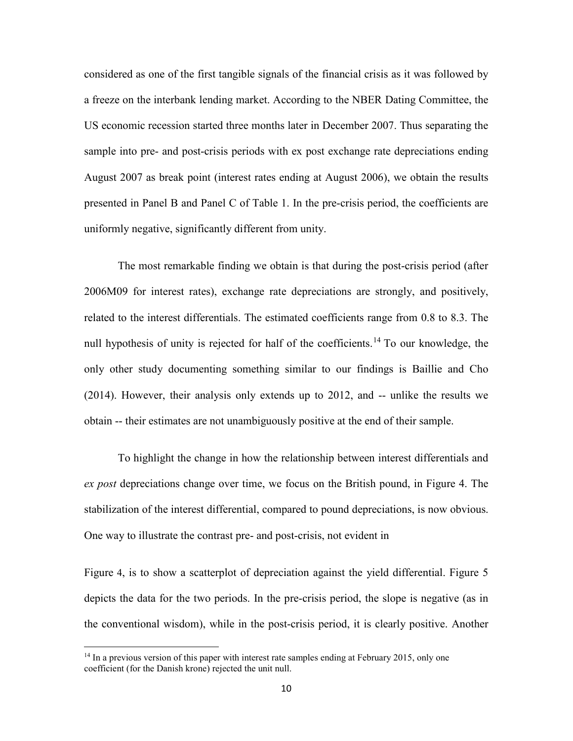considered as one of the first tangible signals of the financial crisis as it was followed by a freeze on the interbank lending market. According to the NBER Dating Committee, the US economic recession started three months later in December 2007. Thus separating the sample into pre- and post-crisis periods with ex post exchange rate depreciations ending August 2007 as break point (interest rates ending at August 2006), we obtain the results presented in Panel B and Panel C of Table 1. In the pre-crisis period, the coefficients are uniformly negative, significantly different from unity.

The most remarkable finding we obtain is that during the post-crisis period (after 2006M09 for interest rates), exchange rate depreciations are strongly, and positively, related to the interest differentials. The estimated coefficients range from 0.8 to 8.3. The null hypothesis of unity is rejected for half of the coefficients.<sup>[14](#page-11-0)</sup> To our knowledge, the only other study documenting something similar to our findings is Baillie and Cho (2014). However, their analysis only extends up to 2012, and -- unlike the results we obtain -- their estimates are not unambiguously positive at the end of their sample.

To highlight the change in how the relationship between interest differentials and *ex post* depreciations change over time, we focus on the British pound, in Figure 4. The stabilization of the interest differential, compared to pound depreciations, is now obvious. One way to illustrate the contrast pre- and post-crisis, not evident in

[Figure](#page-24-1) 4, is to show a scatterplot of depreciation against the yield differential. Figure 5 depicts the data for the two periods. In the pre-crisis period, the slope is negative (as in the conventional wisdom), while in the post-crisis period, it is clearly positive. Another

<span id="page-11-0"></span> $14$  In a previous version of this paper with interest rate samples ending at February 2015, only one coefficient (for the Danish krone) rejected the unit null.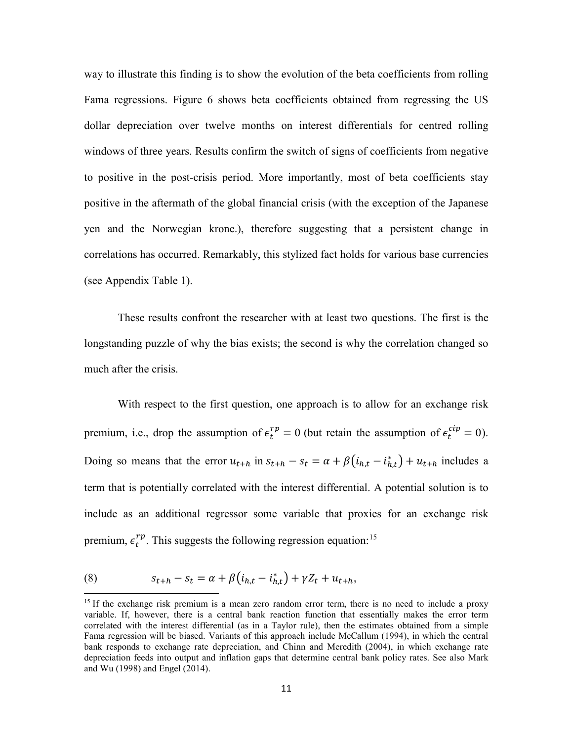way to illustrate this finding is to show the evolution of the beta coefficients from rolling Fama regressions. Figure 6 shows beta coefficients obtained from regressing the US dollar depreciation over twelve months on interest differentials for centred rolling windows of three years. Results confirm the switch of signs of coefficients from negative to positive in the post-crisis period. More importantly, most of beta coefficients stay positive in the aftermath of the global financial crisis (with the exception of the Japanese yen and the Norwegian krone.), therefore suggesting that a persistent change in correlations has occurred. Remarkably, this stylized fact holds for various base currencies (see Appendix Table 1).

These results confront the researcher with at least two questions. The first is the longstanding puzzle of why the bias exists; the second is why the correlation changed so much after the crisis.

With respect to the first question, one approach is to allow for an exchange risk premium, i.e., drop the assumption of  $\epsilon_t^{rp} = 0$  (but retain the assumption of  $\epsilon_t^{cup} = 0$ ). Doing so means that the error  $u_{t+h}$  in  $s_{t+h} - s_t = \alpha + \beta(i_{h,t} - i_{h,t}) + u_{t+h}$  includes a term that is potentially correlated with the interest differential. A potential solution is to include as an additional regressor some variable that proxies for an exchange risk premium,  $\epsilon_t^{rp}$ . This suggests the following regression equation:<sup>[15](#page-12-0)</sup>

(8) 
$$
s_{t+h} - s_t = \alpha + \beta (i_{h,t} - i_{h,t}^*) + \gamma Z_t + u_{t+h},
$$

<span id="page-12-0"></span><sup>&</sup>lt;sup>15</sup> If the exchange risk premium is a mean zero random error term, there is no need to include a proxy variable. If, however, there is a central bank reaction function that essentially makes the error term correlated with the interest differential (as in a Taylor rule), then the estimates obtained from a simple Fama regression will be biased. Variants of this approach include McCallum (1994), in which the central bank responds to exchange rate depreciation, and Chinn and Meredith (2004), in which exchange rate depreciation feeds into output and inflation gaps that determine central bank policy rates. See also Mark and Wu (1998) and Engel (2014).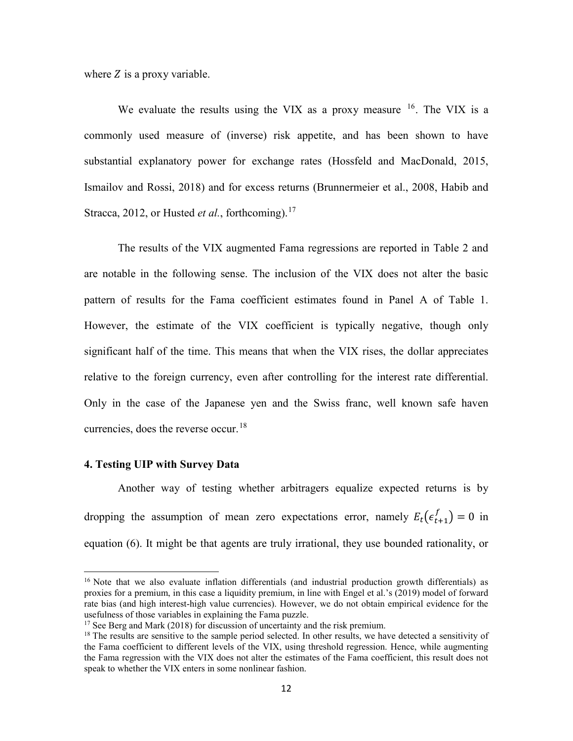where  $Z$  is a proxy variable.

We evaluate the results using the VIX as a proxy measure  $16$ . The VIX is a commonly used measure of (inverse) risk appetite, and has been shown to have substantial explanatory power for exchange rates (Hossfeld and MacDonald, 2015, Ismailov and Rossi, 2018) and for excess returns (Brunnermeier et al., 2008, Habib and Stracca, 2012, or Husted *et al.*, forthcoming).<sup>[17](#page-13-1)</sup>

The results of the VIX augmented Fama regressions are reported in Table 2 and are notable in the following sense. The inclusion of the VIX does not alter the basic pattern of results for the Fama coefficient estimates found in Panel A of Table 1. However, the estimate of the VIX coefficient is typically negative, though only significant half of the time. This means that when the VIX rises, the dollar appreciates relative to the foreign currency, even after controlling for the interest rate differential. Only in the case of the Japanese yen and the Swiss franc, well known safe haven currencies, does the reverse occur.<sup>[18](#page-13-2)</sup>

# **4. Testing UIP with Survey Data**

l

Another way of testing whether arbitragers equalize expected returns is by dropping the assumption of mean zero expectations error, namely  $E_t(e_{t+1}^f) = 0$  in equation (6). It might be that agents are truly irrational, they use bounded rationality, or

<span id="page-13-0"></span><sup>&</sup>lt;sup>16</sup> Note that we also evaluate inflation differentials (and industrial production growth differentials) as proxies for a premium, in this case a liquidity premium, in line with Engel et al.'s (2019) model of forward rate bias (and high interest-high value currencies). However, we do not obtain empirical evidence for the usefulness of those variables in explaining the Fama puzzle.

<span id="page-13-1"></span> $17$  See Berg and Mark (2018) for discussion of uncertainty and the risk premium.

<span id="page-13-2"></span><sup>&</sup>lt;sup>18</sup> The results are sensitive to the sample period selected. In other results, we have detected a sensitivity of the Fama coefficient to different levels of the VIX, using threshold regression. Hence, while augmenting the Fama regression with the VIX does not alter the estimates of the Fama coefficient, this result does not speak to whether the VIX enters in some nonlinear fashion.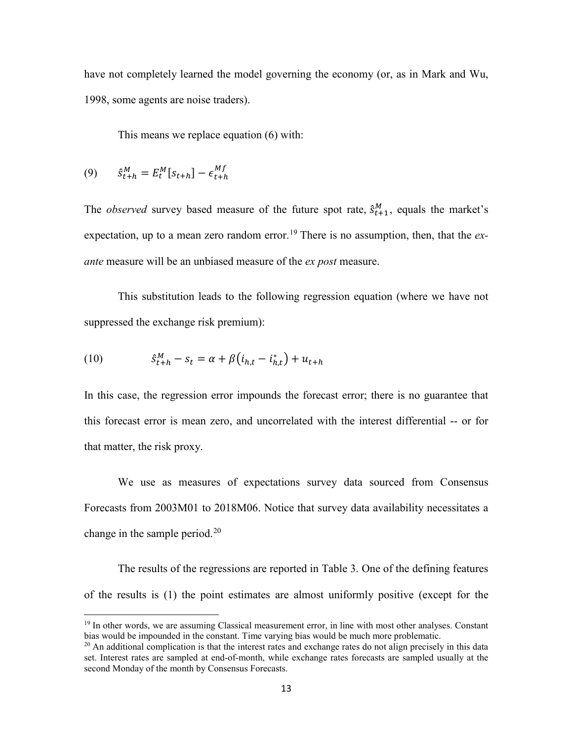have not completely learned the model governing the economy (or, as in Mark and Wu, 1998, some agents are noise traders).

This means we replace equation (6) with:

$$
(9) \qquad \hat{s}_{t+h}^M = E_t^M[s_{t+h}] - \epsilon_{t+h}^{Mf}
$$

 $\overline{\phantom{a}}$ 

The *observed* survey based measure of the future spot rate,  $\hat{s}_{t+1}^M$ , equals the market's expectation, up to a mean zero random error.<sup>[19](#page-14-0)</sup> There is no assumption, then, that the *exante* measure will be an unbiased measure of the *ex post* measure.

This substitution leads to the following regression equation (where we have not suppressed the exchange risk premium):

(10) 
$$
\hat{s}_{t+h}^M - s_t = \alpha + \beta (i_{h,t} - i_{h,t}^*) + u_{t+h}
$$

In this case, the regression error impounds the forecast error; there is no guarantee that this forecast error is mean zero, and uncorrelated with the interest differential -- or for that matter, the risk proxy.

We use as measures of expectations survey data sourced from Consensus Forecasts from 2003M01 to 2018M06. Notice that survey data availability necessitates a change in the sample period.<sup>[20](#page-14-1)</sup>

The results of the regressions are reported in Table 3. One of the defining features of the results is (1) the point estimates are almost uniformly positive (except for the

<span id="page-14-0"></span><sup>&</sup>lt;sup>19</sup> In other words, we are assuming Classical measurement error, in line with most other analyses. Constant bias would be impounded in the constant. Time varying bias would be much more problematic.

<span id="page-14-1"></span> $^{20}$  An additional complication is that the interest rates and exchange rates do not align precisely in this data set. Interest rates are sampled at end-of-month, while exchange rates forecasts are sampled usually at the second Monday of the month by Consensus Forecasts.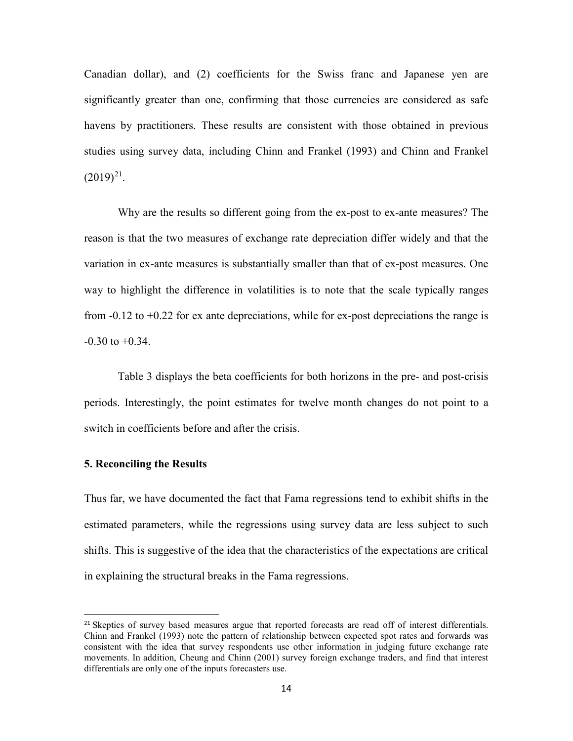Canadian dollar), and (2) coefficients for the Swiss franc and Japanese yen are significantly greater than one, confirming that those currencies are considered as safe havens by practitioners. These results are consistent with those obtained in previous studies using survey data, including Chinn and Frankel (1993) and Chinn and Frankel  $(2019)^{21}$ .

Why are the results so different going from the ex-post to ex-ante measures? The reason is that the two measures of exchange rate depreciation differ widely and that the variation in ex-ante measures is substantially smaller than that of ex-post measures. One way to highlight the difference in volatilities is to note that the scale typically ranges from -0.12 to +0.22 for ex ante depreciations, while for ex-post depreciations the range is  $-0.30$  to  $+0.34$ .

Table 3 displays the beta coefficients for both horizons in the pre- and post-crisis periods. Interestingly, the point estimates for twelve month changes do not point to a switch in coefficients before and after the crisis.

#### **5. Reconciling the Results**

Thus far, we have documented the fact that Fama regressions tend to exhibit shifts in the estimated parameters, while the regressions using survey data are less subject to such shifts. This is suggestive of the idea that the characteristics of the expectations are critical in explaining the structural breaks in the Fama regressions.

<span id="page-15-0"></span><sup>&</sup>lt;sup>21</sup> Skeptics of survey based measures argue that reported forecasts are read off of interest differentials. Chinn and Frankel (1993) note the pattern of relationship between expected spot rates and forwards was consistent with the idea that survey respondents use other information in judging future exchange rate movements. In addition, Cheung and Chinn (2001) survey foreign exchange traders, and find that interest differentials are only one of the inputs forecasters use.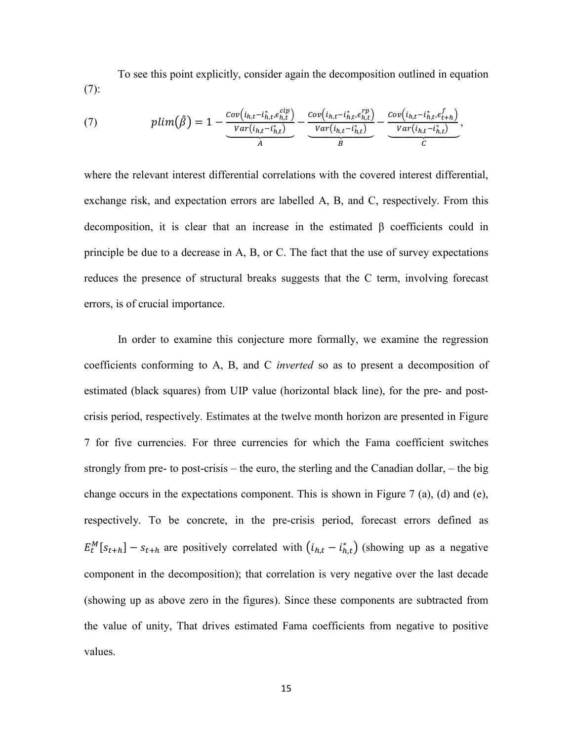To see this point explicitly, consider again the decomposition outlined in equation (7):

(7) 
$$
plim(\hat{\beta}) = 1 - \underbrace{\frac{Cov(i_{h,t} - i_{h,t}^*, \epsilon_{h,t}^{cip})}{Var(i_{h,t} - i_{h,t}^*)}}_{A} - \underbrace{\frac{Cov(i_{h,t} - i_{h,t}^*, \epsilon_{h,t}^{rp})}{Var(i_{h,t} - i_{h,t}^*)}}_{B} - \underbrace{\frac{Cov(i_{h,t} - i_{h,t}^*, \epsilon_{t+h}^{fp})}{Var(i_{h,t} - i_{h,t}^*)}}_{C},
$$

where the relevant interest differential correlations with the covered interest differential, exchange risk, and expectation errors are labelled A, B, and C, respectively. From this decomposition, it is clear that an increase in the estimated β coefficients could in principle be due to a decrease in A, B, or C. The fact that the use of survey expectations reduces the presence of structural breaks suggests that the C term, involving forecast errors, is of crucial importance.

In order to examine this conjecture more formally, we examine the regression coefficients conforming to A, B, and C *inverted* so as to present a decomposition of estimated (black squares) from UIP value (horizontal black line), for the pre- and postcrisis period, respectively. Estimates at the twelve month horizon are presented in Figure 7 for five currencies. For three currencies for which the Fama coefficient switches strongly from pre- to post-crisis – the euro, the sterling and the Canadian dollar, – the big change occurs in the expectations component. This is shown in Figure 7 (a), (d) and (e), respectively. To be concrete, in the pre-crisis period, forecast errors defined as  $E_t^M[s_{t+h}] - s_{t+h}$  are positively correlated with  $(i_{h,t} - i_{h,t}^*)$  (showing up as a negative component in the decomposition); that correlation is very negative over the last decade (showing up as above zero in the figures). Since these components are subtracted from the value of unity, That drives estimated Fama coefficients from negative to positive values.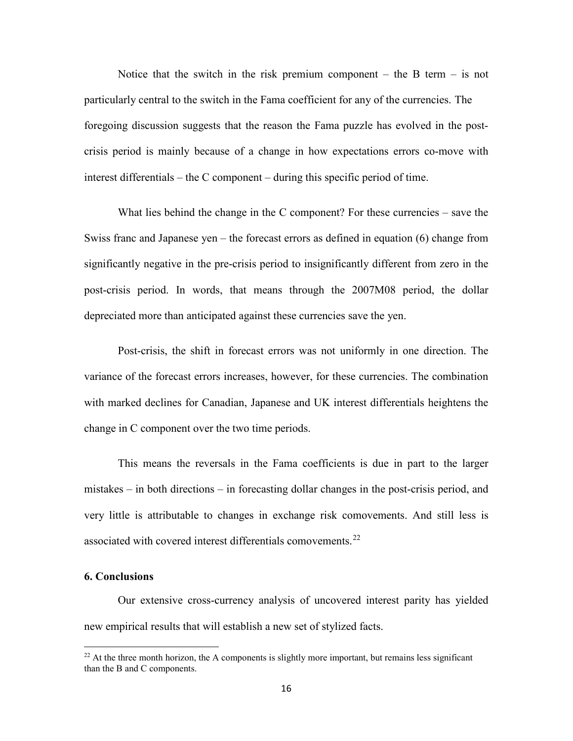Notice that the switch in the risk premium component – the B term – is not particularly central to the switch in the Fama coefficient for any of the currencies. The foregoing discussion suggests that the reason the Fama puzzle has evolved in the postcrisis period is mainly because of a change in how expectations errors co-move with interest differentials – the C component – during this specific period of time.

What lies behind the change in the C component? For these currencies – save the Swiss franc and Japanese yen – the forecast errors as defined in equation (6) change from significantly negative in the pre-crisis period to insignificantly different from zero in the post-crisis period. In words, that means through the 2007M08 period, the dollar depreciated more than anticipated against these currencies save the yen.

Post-crisis, the shift in forecast errors was not uniformly in one direction. The variance of the forecast errors increases, however, for these currencies. The combination with marked declines for Canadian, Japanese and UK interest differentials heightens the change in C component over the two time periods.

This means the reversals in the Fama coefficients is due in part to the larger mistakes – in both directions – in forecasting dollar changes in the post-crisis period, and very little is attributable to changes in exchange risk comovements. And still less is associated with covered interest differentials comovements.<sup>[22](#page-17-0)</sup>

## **6. Conclusions**

l

Our extensive cross-currency analysis of uncovered interest parity has yielded new empirical results that will establish a new set of stylized facts.

<span id="page-17-0"></span> $^{22}$  At the three month horizon, the A components is slightly more important, but remains less significant than the B and C components.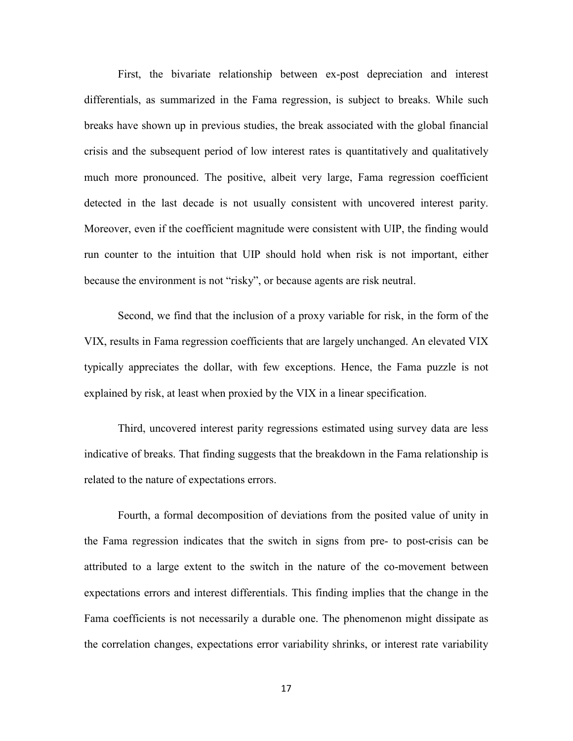First, the bivariate relationship between ex-post depreciation and interest differentials, as summarized in the Fama regression, is subject to breaks. While such breaks have shown up in previous studies, the break associated with the global financial crisis and the subsequent period of low interest rates is quantitatively and qualitatively much more pronounced. The positive, albeit very large, Fama regression coefficient detected in the last decade is not usually consistent with uncovered interest parity. Moreover, even if the coefficient magnitude were consistent with UIP, the finding would run counter to the intuition that UIP should hold when risk is not important, either because the environment is not "risky", or because agents are risk neutral.

Second, we find that the inclusion of a proxy variable for risk, in the form of the VIX, results in Fama regression coefficients that are largely unchanged. An elevated VIX typically appreciates the dollar, with few exceptions. Hence, the Fama puzzle is not explained by risk, at least when proxied by the VIX in a linear specification.

Third, uncovered interest parity regressions estimated using survey data are less indicative of breaks. That finding suggests that the breakdown in the Fama relationship is related to the nature of expectations errors.

Fourth, a formal decomposition of deviations from the posited value of unity in the Fama regression indicates that the switch in signs from pre- to post-crisis can be attributed to a large extent to the switch in the nature of the co-movement between expectations errors and interest differentials. This finding implies that the change in the Fama coefficients is not necessarily a durable one. The phenomenon might dissipate as the correlation changes, expectations error variability shrinks, or interest rate variability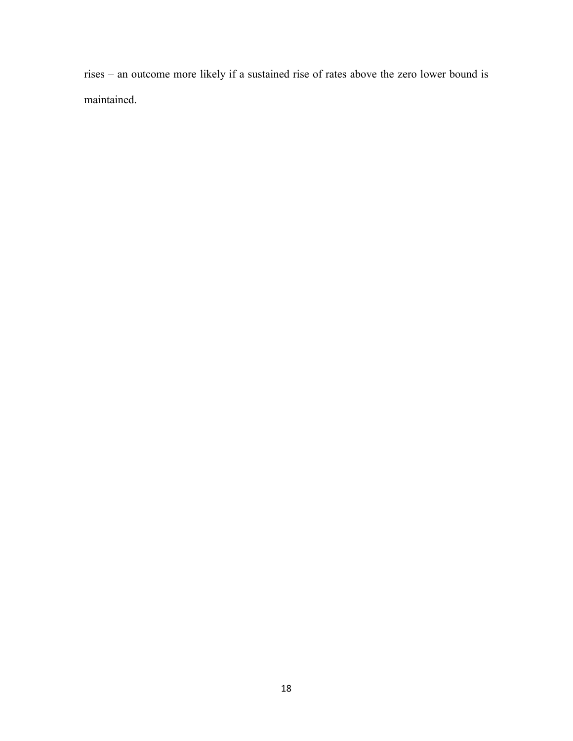rises – an outcome more likely if a sustained rise of rates above the zero lower bound is maintained.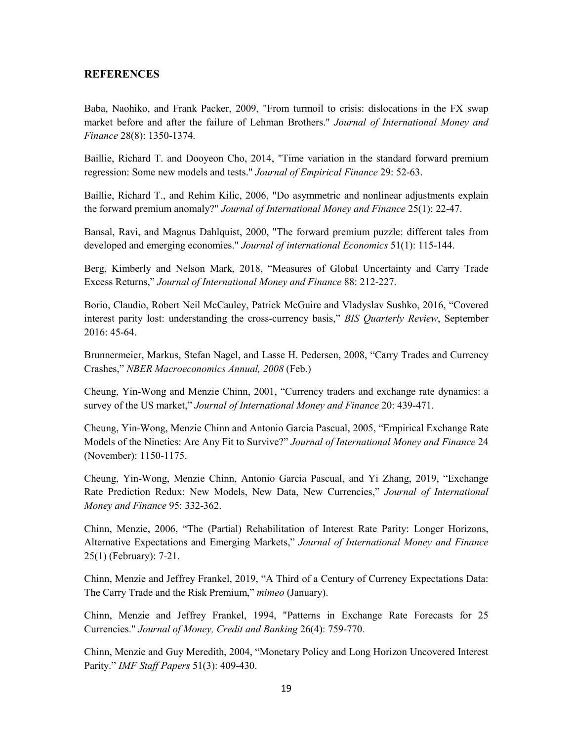#### **REFERENCES**

Baba, Naohiko, and Frank Packer, 2009, "From turmoil to crisis: dislocations in the FX swap market before and after the failure of Lehman Brothers." *Journal of International Money and Finance* 28(8): 1350-1374.

Baillie, Richard T. and Dooyeon Cho, 2014, "Time variation in the standard forward premium regression: Some new models and tests." *Journal of Empirical Finance* 29: 52-63.

Baillie, Richard T., and Rehim Kilic, 2006, "Do asymmetric and nonlinear adjustments explain the forward premium anomaly?" *Journal of International Money and Finance* 25(1): 22-47.

Bansal, Ravi, and Magnus Dahlquist, 2000, "The forward premium puzzle: different tales from developed and emerging economies." *Journal of international Economics* 51(1): 115-144.

Berg, Kimberly and Nelson Mark, 2018, "Measures of Global Uncertainty and Carry Trade Excess Returns," *Journal of International Money and Finance* 88: 212-227.

Borio, Claudio, Robert Neil McCauley, Patrick McGuire and Vladyslav Sushko, 2016, "Covered interest parity lost: understanding the cross-currency basis," *BIS Quarterly Review*, September 2016: 45-64.

Brunnermeier, Markus, Stefan Nagel, and Lasse H. Pedersen, 2008, "Carry Trades and Currency Crashes," *NBER Macroeconomics Annual, 2008* (Feb.)

Cheung, Yin-Wong and Menzie Chinn, 2001, "Currency traders and exchange rate dynamics: a survey of the US market," *Journal of International Money and Finance* 20: 439-471.

Cheung, Yin-Wong, Menzie Chinn and Antonio Garcia Pascual, 2005, "Empirical Exchange Rate Models of the Nineties: Are Any Fit to Survive?" *Journal of International Money and Finance* 24 (November): 1150-1175.

Cheung, Yin-Wong, Menzie Chinn, Antonio Garcia Pascual, and Yi Zhang, 2019, "Exchange Rate Prediction Redux: New Models, New Data, New Currencies," *Journal of International Money and Finance* 95: 332-362.

Chinn, Menzie, 2006, "The (Partial) Rehabilitation of Interest Rate Parity: Longer Horizons, Alternative Expectations and Emerging Markets," *Journal of International Money and Finance* 25(1) (February): 7-21.

Chinn, Menzie and Jeffrey Frankel, 2019, "A Third of a Century of Currency Expectations Data: The Carry Trade and the Risk Premium," *mimeo* (January).

Chinn, Menzie and Jeffrey Frankel, 1994, "Patterns in Exchange Rate Forecasts for 25 Currencies." *Journal of Money, Credit and Banking* 26(4): 759-770.

Chinn, Menzie and Guy Meredith, 2004, "Monetary Policy and Long Horizon Uncovered Interest Parity." *IMF Staff Papers* 51(3): 409-430.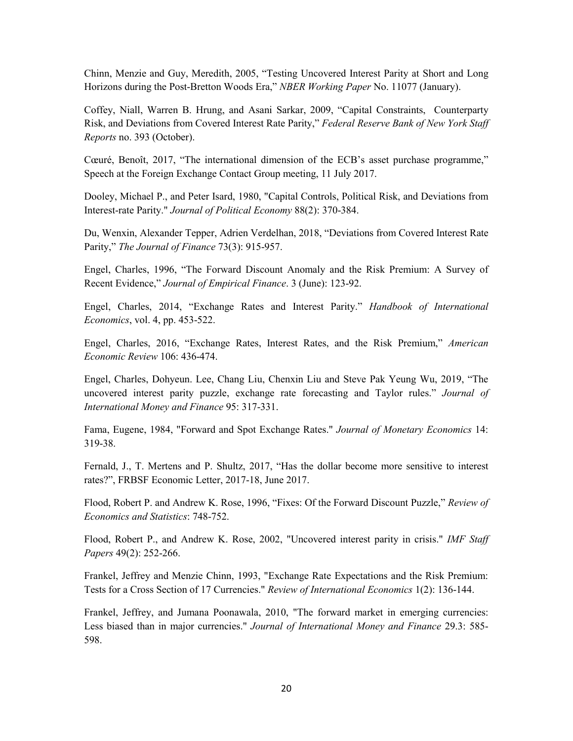Chinn, Menzie and Guy, Meredith, 2005, "Testing Uncovered Interest Parity at Short and Long Horizons during the Post-Bretton Woods Era," *NBER Working Paper* No. 11077 (January).

Coffey, Niall, Warren B. Hrung, and Asani Sarkar, 2009, "Capital Constraints, Counterparty Risk, and Deviations from Covered Interest Rate Parity," *Federal Reserve Bank of New York Staff Reports* no. 393 (October).

Cœuré, Benoît, 2017, "The international dimension of the ECB's asset purchase programme," Speech at the Foreign Exchange Contact Group meeting, 11 July 2017.

Dooley, Michael P., and Peter Isard, 1980, "Capital Controls, Political Risk, and Deviations from Interest-rate Parity." *Journal of Political Economy* 88(2): 370-384.

Du, Wenxin, Alexander Tepper, Adrien Verdelhan, 2018, "Deviations from Covered Interest Rate Parity," *The Journal of Finance* 73(3): 915-957.

Engel, Charles, 1996, "The Forward Discount Anomaly and the Risk Premium: A Survey of Recent Evidence," *Journal of Empirical Finance*. 3 (June): 123-92.

Engel, Charles, 2014, "Exchange Rates and Interest Parity." *Handbook of International Economics*, vol. 4, pp. 453-522.

Engel, Charles, 2016, "Exchange Rates, Interest Rates, and the Risk Premium," *American Economic Review* 106: 436-474.

Engel, Charles, Dohyeun. Lee, Chang Liu, Chenxin Liu and Steve Pak Yeung Wu, 2019, "The uncovered interest parity puzzle, exchange rate forecasting and Taylor rules." *Journal of International Money and Finance* 95: 317-331.

Fama, Eugene, 1984, "Forward and Spot Exchange Rates." *Journal of Monetary Economics* 14: 319-38.

Fernald, J., T. Mertens and P. Shultz, 2017, "Has the dollar become more sensitive to interest rates?", FRBSF Economic Letter, 2017-18, June 2017.

Flood, Robert P. and Andrew K. Rose, 1996, "Fixes: Of the Forward Discount Puzzle," *Review of Economics and Statistics*: 748-752.

Flood, Robert P., and Andrew K. Rose, 2002, "Uncovered interest parity in crisis." *IMF Staff Papers* 49(2): 252-266.

Frankel, Jeffrey and Menzie Chinn, 1993, "Exchange Rate Expectations and the Risk Premium: Tests for a Cross Section of 17 Currencies." *Review of International Economics* 1(2): 136-144.

Frankel, Jeffrey, and Jumana Poonawala, 2010, "The forward market in emerging currencies: Less biased than in major currencies." *Journal of International Money and Finance* 29.3: 585- 598.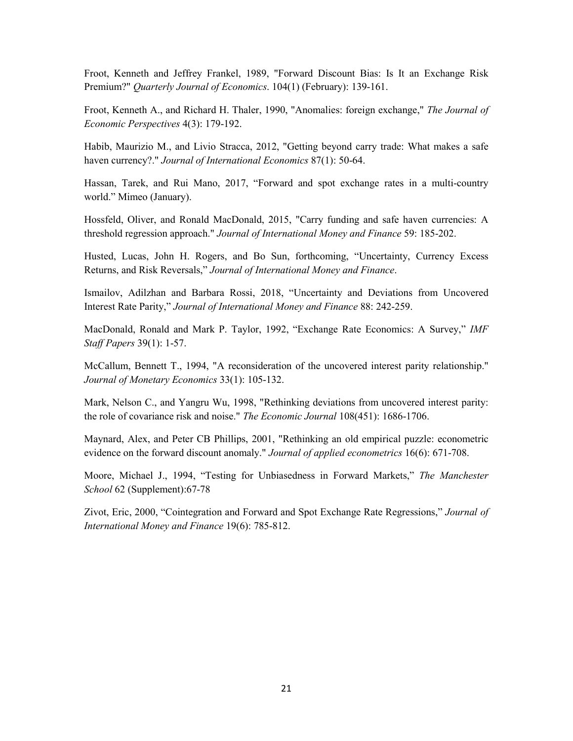Froot, Kenneth and Jeffrey Frankel, 1989, "Forward Discount Bias: Is It an Exchange Risk Premium?" *Quarterly Journal of Economics*. 104(1) (February): 139-161.

Froot, Kenneth A., and Richard H. Thaler, 1990, "Anomalies: foreign exchange," *The Journal of Economic Perspectives* 4(3): 179-192.

Habib, Maurizio M., and Livio Stracca, 2012, "Getting beyond carry trade: What makes a safe haven currency?." *Journal of International Economics* 87(1): 50-64.

Hassan, Tarek, and Rui Mano, 2017, "Forward and spot exchange rates in a multi-country world." Mimeo (January).

Hossfeld, Oliver, and Ronald MacDonald, 2015, "Carry funding and safe haven currencies: A threshold regression approach." *Journal of International Money and Finance* 59: 185-202.

Husted, Lucas, John H. Rogers, and Bo Sun, forthcoming, "Uncertainty, Currency Excess Returns, and Risk Reversals," *Journal of International Money and Finance*.

Ismailov, Adilzhan and Barbara Rossi, 2018, "Uncertainty and Deviations from Uncovered Interest Rate Parity," *Journal of International Money and Finance* 88: 242-259.

MacDonald, Ronald and Mark P. Taylor, 1992, "Exchange Rate Economics: A Survey," *IMF Staff Papers* 39(1): 1-57.

McCallum, Bennett T., 1994, "A reconsideration of the uncovered interest parity relationship." *Journal of Monetary Economics* 33(1): 105-132.

Mark, Nelson C., and Yangru Wu, 1998, "Rethinking deviations from uncovered interest parity: the role of covariance risk and noise." *The Economic Journal* 108(451): 1686-1706.

Maynard, Alex, and Peter CB Phillips, 2001, "Rethinking an old empirical puzzle: econometric evidence on the forward discount anomaly." *Journal of applied econometrics* 16(6): 671-708.

Moore, Michael J., 1994, "Testing for Unbiasedness in Forward Markets," *The Manchester School* 62 (Supplement):67-78

Zivot, Eric, 2000, "Cointegration and Forward and Spot Exchange Rate Regressions," *Journal of International Money and Finance* 19(6): 785-812.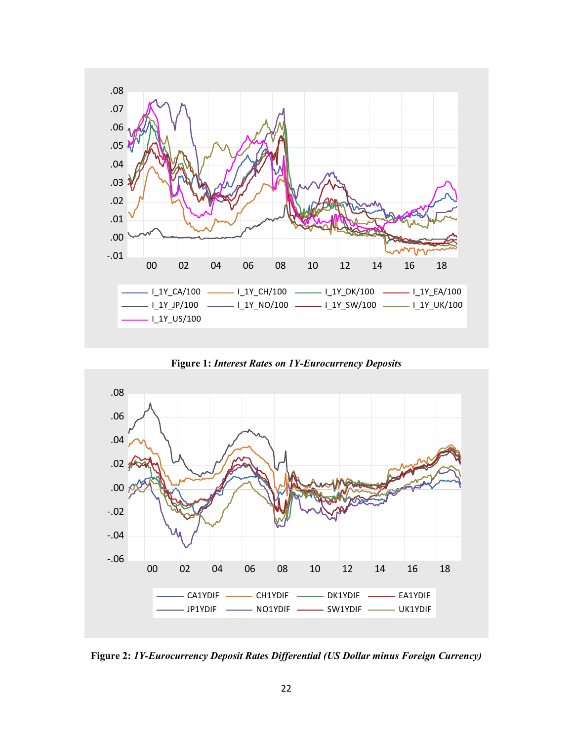

**Figure 1:** *Interest Rates on 1Y-Eurocurrency Deposits*

<span id="page-23-0"></span>

<span id="page-23-1"></span>**Figure 2:** *1Y-Eurocurrency Deposit Rates Differential (US Dollar minus Foreign Currency)*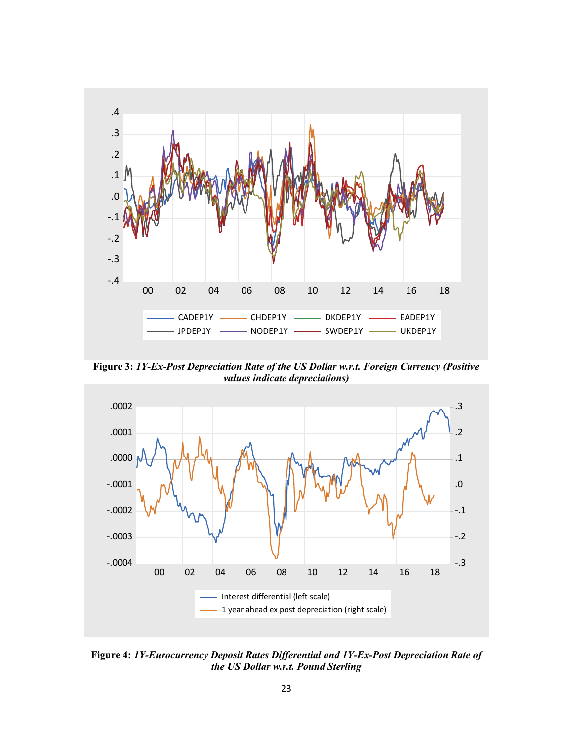

<span id="page-24-0"></span>**Figure 3:** *1Y-Ex-Post Depreciation Rate of the US Dollar w.r.t. Foreign Currency (Positive values indicate depreciations)*

![](_page_24_Figure_2.jpeg)

<span id="page-24-1"></span>**Figure 4:** *1Y-Eurocurrency Deposit Rates Differential and 1Y-Ex-Post Depreciation Rate of the US Dollar w.r.t. Pound Sterling*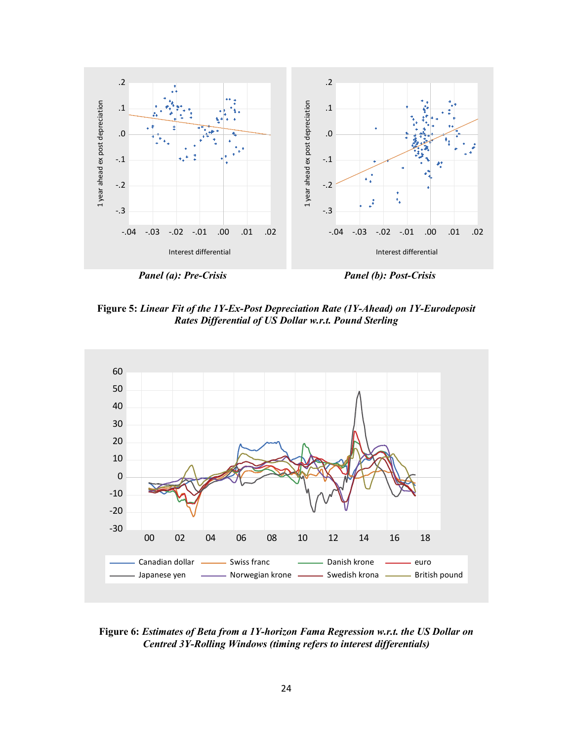![](_page_25_Figure_0.jpeg)

**Figure 5:** *Linear Fit of the 1Y-Ex-Post Depreciation Rate (1Y-Ahead) on 1Y-Eurodeposit Rates Differential of US Dollar w.r.t. Pound Sterling*

![](_page_25_Figure_2.jpeg)

**Figure 6:** *Estimates of Beta from a 1Y-horizon Fama Regression w.r.t. the US Dollar on Centred 3Y-Rolling Windows (timing refers to interest differentials)*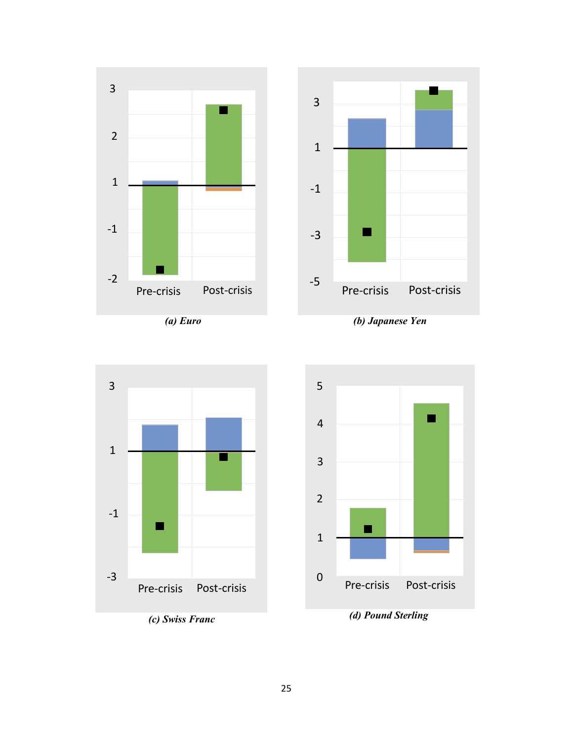![](_page_26_Figure_0.jpeg)

![](_page_26_Figure_1.jpeg)

![](_page_26_Figure_2.jpeg)

![](_page_26_Figure_3.jpeg)

![](_page_26_Figure_4.jpeg)

![](_page_26_Figure_6.jpeg)

![](_page_26_Figure_7.jpeg)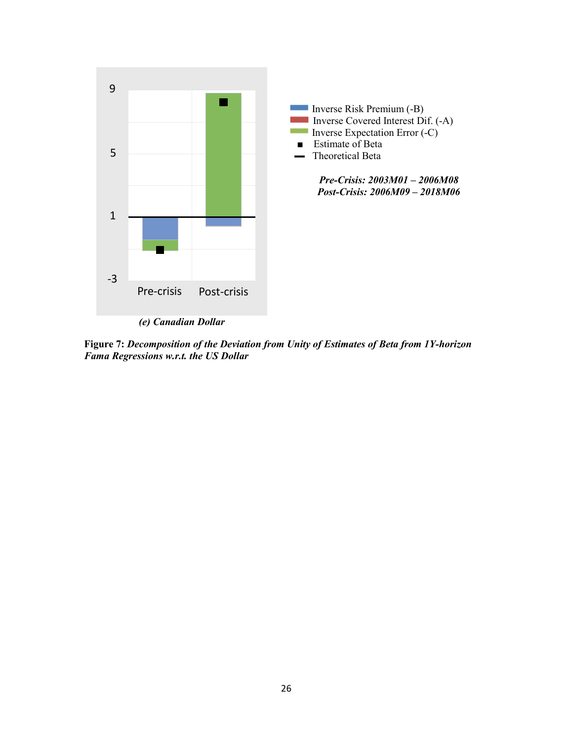![](_page_27_Figure_0.jpeg)

*(e) Canadian Dollar*

**Figure 7:** *Decomposition of the Deviation from Unity of Estimates of Beta from 1Y-horizon Fama Regressions w.r.t. the US Dollar*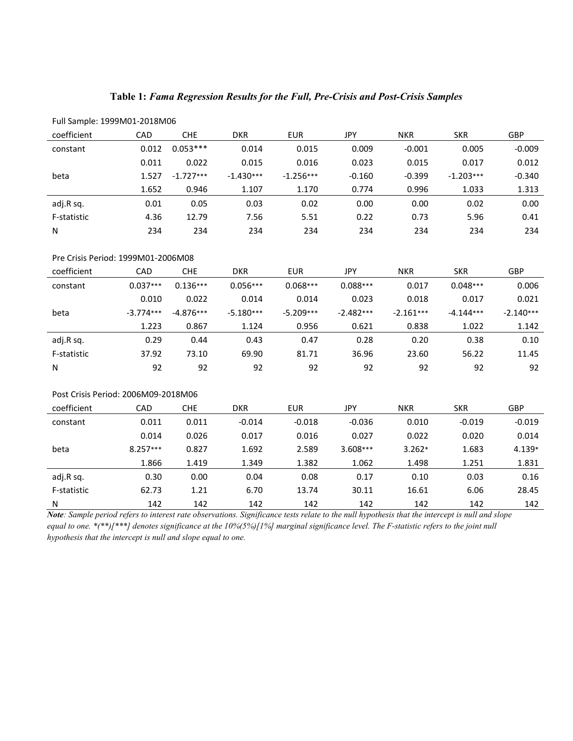|  |  | Table 1: Fama Regression Results for the Full, Pre-Crisis and Post-Crisis Samples |
|--|--|-----------------------------------------------------------------------------------|
|--|--|-----------------------------------------------------------------------------------|

| Full Sample: 1999M01-2018M06 |            |             |             |             |          |            |             |            |
|------------------------------|------------|-------------|-------------|-------------|----------|------------|-------------|------------|
| coefficient                  | <b>CAD</b> | <b>CHE</b>  | <b>DKR</b>  | <b>EUR</b>  | JPY      | <b>NKR</b> | <b>SKR</b>  | <b>GBP</b> |
| constant                     | 0.012      | $0.053***$  | 0.014       | 0.015       | 0.009    | $-0.001$   | 0.005       | $-0.009$   |
|                              | 0.011      | 0.022       | 0.015       | 0.016       | 0.023    | 0.015      | 0.017       | 0.012      |
| beta                         | 1.527      | $-1.727***$ | $-1.430***$ | $-1.256***$ | $-0.160$ | $-0.399$   | $-1.203***$ | $-0.340$   |
|                              | 1.652      | 0.946       | 1.107       | 1.170       | 0.774    | 0.996      | 1.033       | 1.313      |
| adj.R sq.                    | 0.01       | 0.05        | 0.03        | 0.02        | 0.00     | 0.00       | 0.02        | 0.00       |
| F-statistic                  | 4.36       | 12.79       | 7.56        | 5.51        | 0.22     | 0.73       | 5.96        | 0.41       |
| N                            | 234        | 234         | 234         | 234         | 234      | 234        | 234         | 234        |

| Pre Crisis Period: 1999M01-2006M08 |             |             |             |             |             |             |             |             |
|------------------------------------|-------------|-------------|-------------|-------------|-------------|-------------|-------------|-------------|
| coefficient                        | CAD         | CHE         | <b>DKR</b>  | <b>EUR</b>  | JPY         | <b>NKR</b>  | <b>SKR</b>  | <b>GBP</b>  |
| constant                           | $0.037***$  | $0.136***$  | $0.056***$  | $0.068***$  | $0.088***$  | 0.017       | $0.048***$  | 0.006       |
|                                    | 0.010       | 0.022       | 0.014       | 0.014       | 0.023       | 0.018       | 0.017       | 0.021       |
| beta                               | $-3.774***$ | $-4.876***$ | $-5.180***$ | $-5.209***$ | $-2.482***$ | $-2.161***$ | $-4.144***$ | $-2.140***$ |
|                                    | 1.223       | 0.867       | 1.124       | 0.956       | 0.621       | 0.838       | 1.022       | 1.142       |
| adj.R sq.                          | 0.29        | 0.44        | 0.43        | 0.47        | 0.28        | 0.20        | 0.38        | 0.10        |
| F-statistic                        | 37.92       | 73.10       | 69.90       | 81.71       | 36.96       | 23.60       | 56.22       | 11.45       |
| N                                  | 92          | 92          | 92          | 92          | 92          | 92          | 92          | 92          |

#### Post Crisis Period: 2006M09-2018M06

| coefficient | CAD        | <b>CHE</b> | <b>DKR</b> | <b>EUR</b> | JPY      | <b>NKR</b> | <b>SKR</b> | <b>GBP</b> |
|-------------|------------|------------|------------|------------|----------|------------|------------|------------|
| constant    | 0.011      | 0.011      | $-0.014$   | $-0.018$   | $-0.036$ | 0.010      | $-0.019$   | $-0.019$   |
|             | 0.014      | 0.026      | 0.017      | 0.016      | 0.027    | 0.022      | 0.020      | 0.014      |
| beta        | $8.257***$ | 0.827      | 1.692      | 2.589      | 3.608*** | $3.262*$   | 1.683      | 4.139*     |
|             | 1.866      | 1.419      | 1.349      | 1.382      | 1.062    | 1.498      | 1.251      | 1.831      |
| adj.R sq.   | 0.30       | 0.00       | 0.04       | 0.08       | 0.17     | 0.10       | 0.03       | 0.16       |
| F-statistic | 62.73      | 1.21       | 6.70       | 13.74      | 30.11    | 16.61      | 6.06       | 28.45      |
| N           | 142        | 142        | 142        | 142        | 142      | 142        | 142        | 142        |

*Note: Sample period refers to interest rate observations. Significance tests relate to the null hypothesis that the intercept is null and slope equal to one. \*(\*\*)[\*\*\*] denotes significance at the 10%(5%)[1%] marginal significance level. The F-statistic refers to the joint null hypothesis that the intercept is null and slope equal to one.*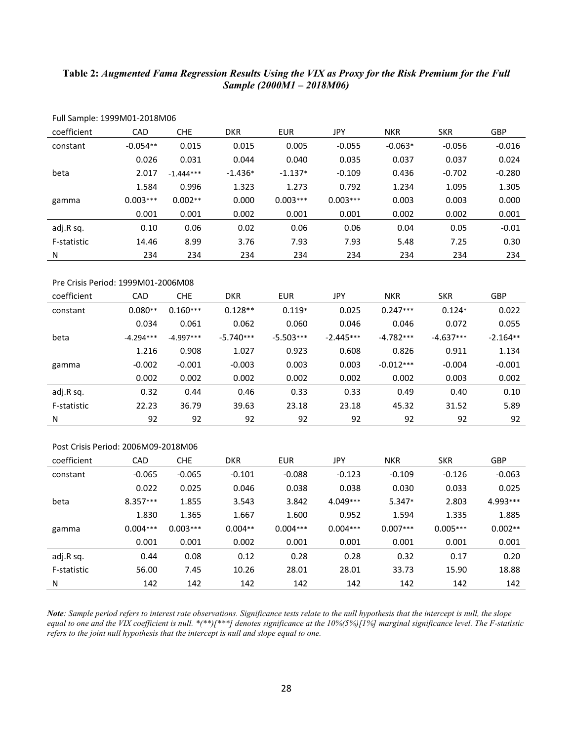### **Table 2:** *Augmented Fama Regression Results Using the VIX as Proxy for the Risk Premium for the Full Sample (2000M1 – 2018M06)*

| Full Sample: 1999M01-2018M06        |             |             |             |             |             |             |             |            |
|-------------------------------------|-------------|-------------|-------------|-------------|-------------|-------------|-------------|------------|
| coefficient                         | CAD         | <b>CHE</b>  | <b>DKR</b>  | <b>EUR</b>  | <b>JPY</b>  | <b>NKR</b>  | <b>SKR</b>  | GBP        |
| constant                            | $-0.054**$  | 0.015       | 0.015       | 0.005       | $-0.055$    | $-0.063*$   | $-0.056$    | $-0.016$   |
|                                     | 0.026       | 0.031       | 0.044       | 0.040       | 0.035       | 0.037       | 0.037       | 0.024      |
| beta                                | 2.017       | $-1.444***$ | $-1.436*$   | $-1.137*$   | $-0.109$    | 0.436       | $-0.702$    | $-0.280$   |
|                                     | 1.584       | 0.996       | 1.323       | 1.273       | 0.792       | 1.234       | 1.095       | 1.305      |
| gamma                               | $0.003***$  | $0.002**$   | 0.000       | $0.003***$  | $0.003***$  | 0.003       | 0.003       | 0.000      |
|                                     | 0.001       | 0.001       | 0.002       | 0.001       | 0.001       | 0.002       | 0.002       | 0.001      |
| adj.R sq.                           | 0.10        | 0.06        | 0.02        | 0.06        | 0.06        | 0.04        | 0.05        | $-0.01$    |
| F-statistic                         | 14.46       | 8.99        | 3.76        | 7.93        | 7.93        | 5.48        | 7.25        | 0.30       |
| N                                   | 234         | 234         | 234         | 234         | 234         | 234         | 234         | 234        |
|                                     |             |             |             |             |             |             |             |            |
| Pre Crisis Period: 1999M01-2006M08  |             |             |             |             |             |             |             |            |
| coefficient                         | CAD         | <b>CHE</b>  | <b>DKR</b>  | <b>EUR</b>  | JPY         | <b>NKR</b>  | <b>SKR</b>  | GBP        |
| constant                            | $0.080**$   | $0.160***$  | $0.128**$   | $0.119*$    | 0.025       | $0.247***$  | $0.124*$    | 0.022      |
|                                     | 0.034       | 0.061       | 0.062       | 0.060       | 0.046       | 0.046       | 0.072       | 0.055      |
| beta                                | $-4.294***$ | $-4.997***$ | $-5.740***$ | $-5.503***$ | $-2.445***$ | $-4.782***$ | $-4.637***$ | $-2.164**$ |
|                                     | 1.216       | 0.908       | 1.027       | 0.923       | 0.608       | 0.826       | 0.911       | 1.134      |
| gamma                               | $-0.002$    | $-0.001$    | $-0.003$    | 0.003       | 0.003       | $-0.012***$ | $-0.004$    | $-0.001$   |
|                                     | 0.002       | 0.002       | 0.002       | 0.002       | 0.002       | 0.002       | 0.003       | 0.002      |
| adj.R sq.                           | 0.32        | 0.44        | 0.46        | 0.33        | 0.33        | 0.49        | 0.40        | 0.10       |
| F-statistic                         | 22.23       | 36.79       | 39.63       | 23.18       | 23.18       | 45.32       | 31.52       | 5.89       |
| Ν                                   | 92          | 92          | 92          | 92          | 92          | 92          | 92          | 92         |
|                                     |             |             |             |             |             |             |             |            |
| Post Crisis Period: 2006M09-2018M06 |             |             |             |             |             |             |             |            |
| coefficient                         | CAD         | <b>CHE</b>  | <b>DKR</b>  | <b>EUR</b>  | JPY         | <b>NKR</b>  | <b>SKR</b>  | GBP        |
| constant                            | $-0.065$    | $-0.065$    | $-0.101$    | $-0.088$    | $-0.123$    | $-0.109$    | $-0.126$    | $-0.063$   |
|                                     | 0.022       | 0.025       | 0.046       | 0.038       | 0.038       | 0.030       | 0.033       | 0.025      |
| beta                                | 8.357***    | 1.855       | 3.543       | 3.842       | 4.049***    | 5.347*      | 2.803       | 4.993***   |
|                                     | 1.830       | 1.365       | 1.667       | 1.600       | 0.952       | 1.594       | 1.335       | 1.885      |
| gamma                               | $0.004***$  | $0.003***$  | $0.004**$   | $0.004***$  | $0.004***$  | $0.007***$  | $0.005***$  | $0.002**$  |
|                                     | 0.001       | 0.001       | 0.002       | 0.001       | 0.001       | 0.001       | 0.001       | 0.001      |
| adj.R sq.                           | 0.44        | 0.08        | 0.12        | 0.28        | 0.28        | 0.32        | 0.17        | 0.20       |
| F-statistic                         | 56.00       | 7.45        | 10.26       | 28.01       | 28.01       | 33.73       | 15.90       | 18.88      |
| N                                   | 142         | 142         | 142         | 142         | 142         | 142         | 142         | 142        |

*Note: Sample period refers to interest rate observations. Significance tests relate to the null hypothesis that the intercept is null, the slope equal to one and the VIX coefficient is null. \*(\*\*)[\*\*\*] denotes significance at the 10%(5%)[1%] marginal significance level. The F-statistic refers to the joint null hypothesis that the intercept is null and slope equal to one.*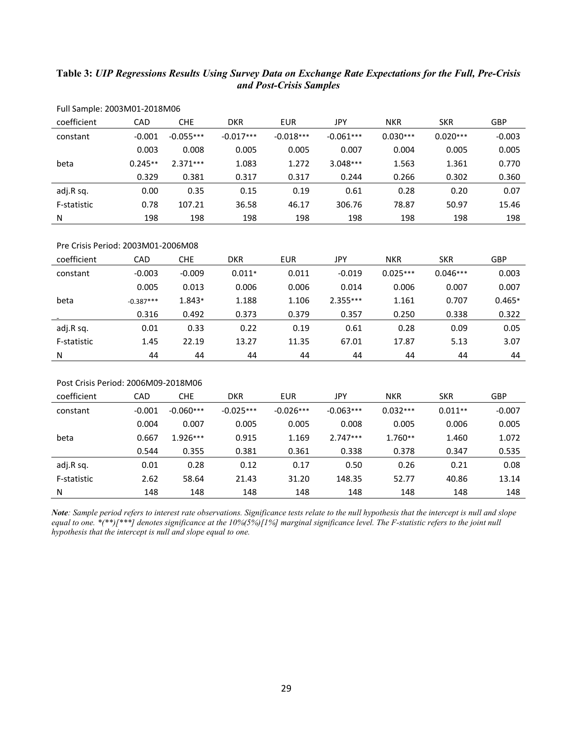# **Table 3:** *UIP Regressions Results Using Survey Data on Exchange Rate Expectations for the Full, Pre-Crisis and Post-Crisis Samples*

| FUII SAIIIDIE: ZUUSIVIUI-ZUIBIVIUD |           |             |             |             |             |            |            |            |
|------------------------------------|-----------|-------------|-------------|-------------|-------------|------------|------------|------------|
| coefficient                        | CAD       | <b>CHE</b>  | <b>DKR</b>  | <b>EUR</b>  | JPY         | <b>NKR</b> | <b>SKR</b> | <b>GBP</b> |
| constant                           | $-0.001$  | $-0.055***$ | $-0.017***$ | $-0.018***$ | $-0.061***$ | $0.030***$ | $0.020***$ | $-0.003$   |
|                                    | 0.003     | 0.008       | 0.005       | 0.005       | 0.007       | 0.004      | 0.005      | 0.005      |
| beta                               | $0.245**$ | $2.371***$  | 1.083       | 1.272       | $3.048***$  | 1.563      | 1.361      | 0.770      |
|                                    | 0.329     | 0.381       | 0.317       | 0.317       | 0.244       | 0.266      | 0.302      | 0.360      |
| adj.R sq.                          | 0.00      | 0.35        | 0.15        | 0.19        | 0.61        | 0.28       | 0.20       | 0.07       |
| F-statistic                        | 0.78      | 107.21      | 36.58       | 46.17       | 306.76      | 78.87      | 50.97      | 15.46      |
| Ν                                  | 198       | 198         | 198         | 198         | 198         | 198        | 198        | 198        |

Full Sample: 2003M01-2018M06

## Pre Crisis Period: 2003M01-2006M08

| coefficient | CAD         | <b>CHE</b> | <b>DKR</b> | <b>EUR</b> | <b>JPY</b> | <b>NKR</b> | <b>SKR</b> | <b>GBP</b> |
|-------------|-------------|------------|------------|------------|------------|------------|------------|------------|
| constant    | $-0.003$    | $-0.009$   | $0.011*$   | 0.011      | $-0.019$   | $0.025***$ | $0.046***$ | 0.003      |
|             | 0.005       | 0.013      | 0.006      | 0.006      | 0.014      | 0.006      | 0.007      | 0.007      |
| beta        | $-0.387***$ | $1.843*$   | 1.188      | 1.106      | $2.355***$ | 1.161      | 0.707      | $0.465*$   |
|             | 0.316       | 0.492      | 0.373      | 0.379      | 0.357      | 0.250      | 0.338      | 0.322      |
| adj.R sq.   | 0.01        | 0.33       | 0.22       | 0.19       | 0.61       | 0.28       | 0.09       | 0.05       |
| F-statistic | 1.45        | 22.19      | 13.27      | 11.35      | 67.01      | 17.87      | 5.13       | 3.07       |
| N           | 44          | 44         | 44         | 44         | 44         | 44         | 44         | 44         |

#### Post Crisis Period: 2006M09-2018M06

| coefficient | CAD      | <b>CHE</b>  | <b>DKR</b>  | <b>EUR</b>  | JPY         | <b>NKR</b> | <b>SKR</b> | <b>GBP</b> |
|-------------|----------|-------------|-------------|-------------|-------------|------------|------------|------------|
| constant    | $-0.001$ | $-0.060***$ | $-0.025***$ | $-0.026***$ | $-0.063***$ | $0.032***$ | $0.011**$  | $-0.007$   |
|             | 0.004    | 0.007       | 0.005       | 0.005       | 0.008       | 0.005      | 0.006      | 0.005      |
| beta        | 0.667    | $1.926***$  | 0.915       | 1.169       | $2.747***$  | $1.760**$  | 1.460      | 1.072      |
|             | 0.544    | 0.355       | 0.381       | 0.361       | 0.338       | 0.378      | 0.347      | 0.535      |
| adj.R sq.   | 0.01     | 0.28        | 0.12        | 0.17        | 0.50        | 0.26       | 0.21       | 0.08       |
| F-statistic | 2.62     | 58.64       | 21.43       | 31.20       | 148.35      | 52.77      | 40.86      | 13.14      |
| N           | 148      | 148         | 148         | 148         | 148         | 148        | 148        | 148        |

*Note: Sample period refers to interest rate observations. Significance tests relate to the null hypothesis that the intercept is null and slope equal to one. \*(\*\*)[\*\*\*] denotes significance at the 10%(5%)[1%] marginal significance level. The F-statistic refers to the joint null hypothesis that the intercept is null and slope equal to one.*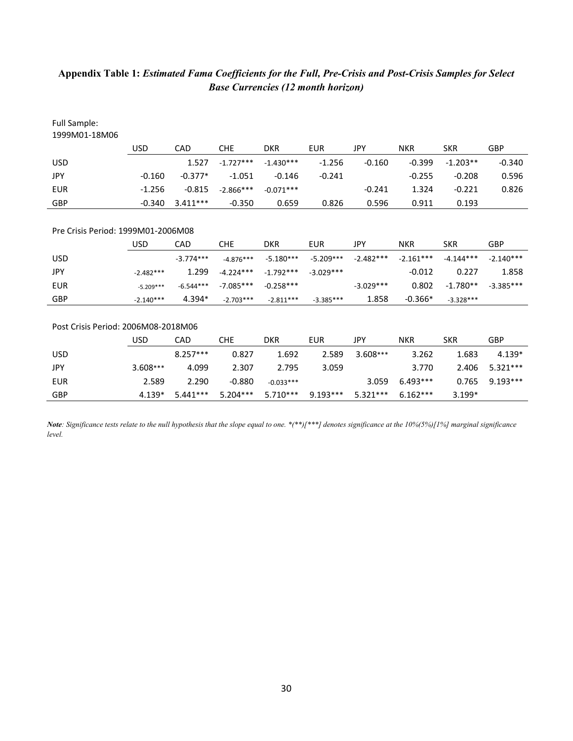# **Appendix Table 1:** *Estimated Fama Coefficients for the Full, Pre-Crisis and Post-Crisis Samples for Select Base Currencies (12 month horizon)*

| <b>Full Sample:</b><br>1999M01-18M06 |             |             |             |             |             |             |             |             |             |
|--------------------------------------|-------------|-------------|-------------|-------------|-------------|-------------|-------------|-------------|-------------|
|                                      | <b>USD</b>  | CAD         | <b>CHE</b>  | <b>DKR</b>  | <b>EUR</b>  | JPY         | <b>NKR</b>  | <b>SKR</b>  | GBP         |
| <b>USD</b>                           |             | 1.527       | $-1.727***$ | $-1.430***$ | $-1.256$    | $-0.160$    | $-0.399$    | $-1.203**$  | $-0.340$    |
| JPY                                  | $-0.160$    | $-0.377*$   | $-1.051$    | $-0.146$    | $-0.241$    |             | $-0.255$    | $-0.208$    | 0.596       |
| <b>EUR</b>                           | $-1.256$    | $-0.815$    | $-2.866***$ | $-0.071***$ |             | $-0.241$    | 1.324       | $-0.221$    | 0.826       |
| <b>GBP</b>                           | $-0.340$    | $3.411***$  | $-0.350$    | 0.659       | 0.826       | 0.596       | 0.911       | 0.193       |             |
|                                      |             |             |             |             |             |             |             |             |             |
| Pre Crisis Period: 1999M01-2006M08   |             |             |             |             |             |             |             |             |             |
|                                      | <b>USD</b>  | CAD         | <b>CHE</b>  | <b>DKR</b>  | <b>EUR</b>  | <b>JPY</b>  | <b>NKR</b>  | <b>SKR</b>  | <b>GBP</b>  |
| <b>USD</b>                           |             | $-3.774***$ | $-4.876***$ | $-5.180***$ | $-5.209***$ | $-2.482***$ | $-2.161***$ | $-4.144***$ | $-2.140***$ |
| JPY                                  | $-2.482***$ | 1.299       | $-4.224***$ | $-1.792***$ | $-3.029***$ |             | $-0.012$    | 0.227       | 1.858       |
| <b>EUR</b>                           | $-5.209***$ | $-6.544***$ | $-7.085***$ | $-0.258***$ |             | $-3.029***$ | 0.802       | $-1.780**$  | $-3.385***$ |
| GBP                                  | $-2.140***$ | 4.394*      | $-2.703***$ | $-2.811***$ | $-3.385***$ | 1.858       | $-0.366*$   | $-3.328***$ |             |
|                                      |             |             |             |             |             |             |             |             |             |
| Post Crisis Period: 2006M08-2018M06  |             |             |             |             |             |             |             |             |             |
|                                      | <b>USD</b>  | CAD         | <b>CHE</b>  | <b>DKR</b>  | <b>EUR</b>  | JPY         | <b>NKR</b>  | <b>SKR</b>  | GBP         |
| <b>USD</b>                           |             | $8.257***$  | 0.827       | 1.692       | 2.589       | 3.608***    | 3.262       | 1.683       | 4.139*      |
| JPY                                  | $3.608***$  | 4.099       | 2.307       | 2.795       | 3.059       |             | 3.770       | 2.406       | 5.321 ***   |
| <b>EUR</b>                           | 2.589       | 2.290       | $-0.880$    | $-0.033***$ |             | 3.059       | $6.493***$  | 0.765       | $9.193***$  |
| GBP                                  | $4.139*$    | $5.441***$  | $5.204***$  | $5.710***$  | $9.193***$  | 5.321***    | $6.162***$  | $3.199*$    |             |

*Note: Significance tests relate to the null hypothesis that the slope equal to one. \*(\*\*)[\*\*\*] denotes significance at the 10%(5%)[1%] marginal significance level.*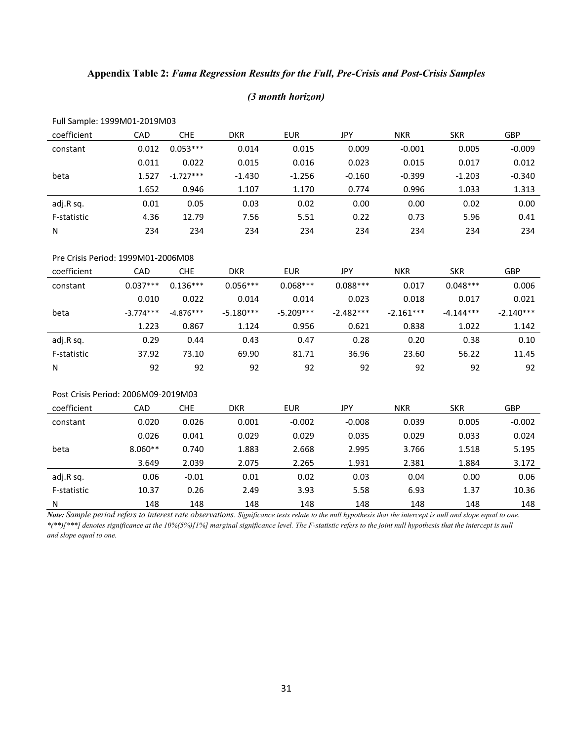# **Appendix Table 2:** *Fama Regression Results for the Full, Pre-Crisis and Post-Crisis Samples*

#### *(3 month horizon)*

| i un sunnoit. 1999 ivid1 2019 ivid3 |       |             |            |            |          |            |            |            |
|-------------------------------------|-------|-------------|------------|------------|----------|------------|------------|------------|
| coefficient                         | CAD   | <b>CHE</b>  | <b>DKR</b> | <b>EUR</b> | JPY      | <b>NKR</b> | <b>SKR</b> | <b>GBP</b> |
| constant                            | 0.012 | $0.053***$  | 0.014      | 0.015      | 0.009    | $-0.001$   | 0.005      | $-0.009$   |
|                                     | 0.011 | 0.022       | 0.015      | 0.016      | 0.023    | 0.015      | 0.017      | 0.012      |
| beta                                | 1.527 | $-1.727***$ | $-1.430$   | $-1.256$   | $-0.160$ | $-0.399$   | $-1.203$   | $-0.340$   |
|                                     | 1.652 | 0.946       | 1.107      | 1.170      | 0.774    | 0.996      | 1.033      | 1.313      |
| adj.R sq.                           | 0.01  | 0.05        | 0.03       | 0.02       | 0.00     | 0.00       | 0.02       | 0.00       |
| F-statistic                         | 4.36  | 12.79       | 7.56       | 5.51       | 0.22     | 0.73       | 5.96       | 0.41       |
| N                                   | 234   | 234         | 234        | 234        | 234      | 234        | 234        | 234        |
|                                     |       |             |            |            |          |            |            |            |

## Full Sample: 1999M01-2019M03

# Pre Crisis Period: 1999M01-2006M08

| coefficient | CAD         | <b>CHE</b>  | <b>DKR</b>  | <b>EUR</b>  | JPY         | <b>NKR</b>  | <b>SKR</b>  | <b>GBP</b>  |
|-------------|-------------|-------------|-------------|-------------|-------------|-------------|-------------|-------------|
| constant    | $0.037***$  | $0.136***$  | $0.056***$  | $0.068***$  | $0.088***$  | 0.017       | $0.048***$  | 0.006       |
|             | 0.010       | 0.022       | 0.014       | 0.014       | 0.023       | 0.018       | 0.017       | 0.021       |
| beta        | $-3.774***$ | $-4.876***$ | $-5.180***$ | $-5.209***$ | $-2.482***$ | $-2.161***$ | $-4.144***$ | $-2.140***$ |
|             | 1.223       | 0.867       | 1.124       | 0.956       | 0.621       | 0.838       | 1.022       | 1.142       |
| adj.R sq.   | 0.29        | 0.44        | 0.43        | 0.47        | 0.28        | 0.20        | 0.38        | 0.10        |
| F-statistic | 37.92       | 73.10       | 69.90       | 81.71       | 36.96       | 23.60       | 56.22       | 11.45       |
| N           | 92          | 92          | 92          | 92          | 92          | 92          | 92          | 92          |

#### Post Crisis Period: 2006M09-2019M03

| coefficient | CAD       | <b>CHE</b> | <b>DKR</b> | <b>EUR</b> | JPY      | <b>NKR</b> | <b>SKR</b> | <b>GBP</b> |
|-------------|-----------|------------|------------|------------|----------|------------|------------|------------|
| constant    | 0.020     | 0.026      | 0.001      | $-0.002$   | $-0.008$ | 0.039      | 0.005      | $-0.002$   |
|             | 0.026     | 0.041      | 0.029      | 0.029      | 0.035    | 0.029      | 0.033      | 0.024      |
| beta        | $8.060**$ | 0.740      | 1.883      | 2.668      | 2.995    | 3.766      | 1.518      | 5.195      |
|             | 3.649     | 2.039      | 2.075      | 2.265      | 1.931    | 2.381      | 1.884      | 3.172      |
| adj.R sq.   | 0.06      | $-0.01$    | 0.01       | 0.02       | 0.03     | 0.04       | 0.00       | 0.06       |
| F-statistic | 10.37     | 0.26       | 2.49       | 3.93       | 5.58     | 6.93       | 1.37       | 10.36      |
| N           | 148       | 148        | 148        | 148        | 148      | 148        | 148        | 148        |

*Note: Sample period refers to interest rate observations. Significance tests relate to the null hypothesis that the intercept is null and slope equal to one. \*(\*\*)[\*\*\*] denotes significance at the 10%(5%)[1%] marginal significance level. The F-statistic refers to the joint null hypothesis that the intercept is null and slope equal to one.*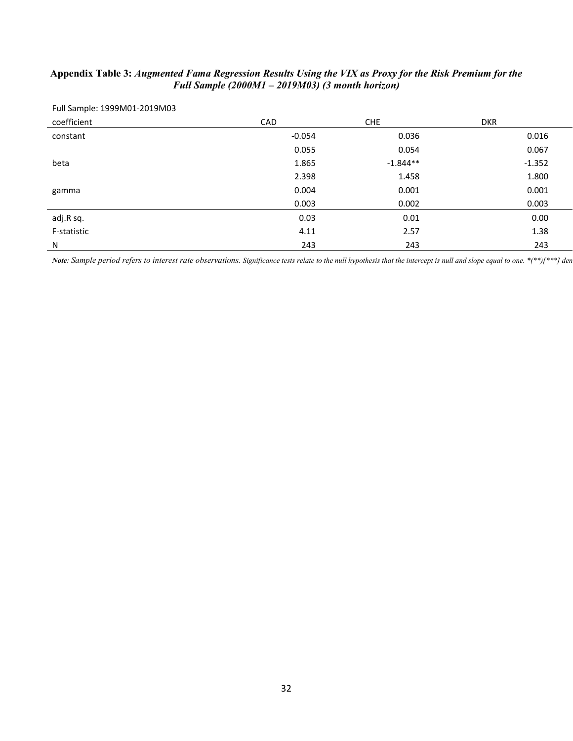# **Appendix Table 3:** *Augmented Fama Regression Results Using the VIX as Proxy for the Risk Premium for the Full Sample (2000M1 – 2019M03) (3 month horizon)*

| Full Sample: 1999M01-2019M03 |            |            |            |
|------------------------------|------------|------------|------------|
| coefficient                  | <b>CAD</b> | <b>CHE</b> | <b>DKR</b> |
| constant                     | $-0.054$   | 0.036      | 0.016      |
|                              | 0.055      | 0.054      | 0.067      |
| beta                         | 1.865      | $-1.844**$ | $-1.352$   |
|                              | 2.398      | 1.458      | 1.800      |
| gamma                        | 0.004      | 0.001      | 0.001      |
|                              | 0.003      | 0.002      | 0.003      |
| adj.R sq.                    | 0.03       | 0.01       | 0.00       |
| F-statistic                  | 4.11       | 2.57       | 1.38       |
| N                            | 243        | 243        | 243        |

*Note*: Sample period refers to interest rate observations. Significance tests relate to the null hypothesis that the intercept is null and slope equal to one. \*(\*\*)[\*\*\*] den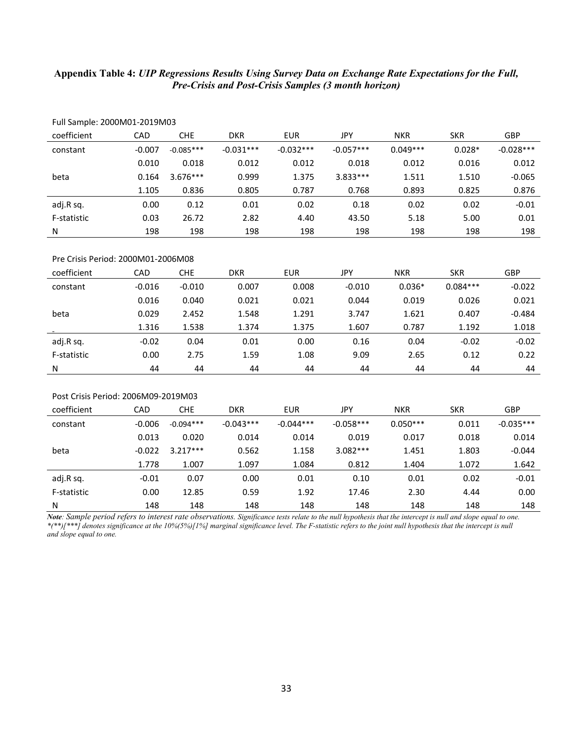## **Appendix Table 4:** *UIP Regressions Results Using Survey Data on Exchange Rate Expectations for the Full, Pre-Crisis and Post-Crisis Samples (3 month horizon)*

| coefficient | CAD      | <b>CHE</b>  | <b>DKR</b>  | <b>EUR</b>  | <b>JPY</b>  | <b>NKR</b> | <b>SKR</b> | <b>GBP</b>  |
|-------------|----------|-------------|-------------|-------------|-------------|------------|------------|-------------|
| constant    | $-0.007$ | $-0.085***$ | $-0.031***$ | $-0.032***$ | $-0.057***$ | $0.049***$ | $0.028*$   | $-0.028***$ |
|             | 0.010    | 0.018       | 0.012       | 0.012       | 0.018       | 0.012      | 0.016      | 0.012       |
| beta        | 0.164    | $3.676***$  | 0.999       | 1.375       | $3.833***$  | 1.511      | 1.510      | $-0.065$    |
|             | 1.105    | 0.836       | 0.805       | 0.787       | 0.768       | 0.893      | 0.825      | 0.876       |
| adj.R sq.   | 0.00     | 0.12        | 0.01        | 0.02        | 0.18        | 0.02       | 0.02       | $-0.01$     |
| F-statistic | 0.03     | 26.72       | 2.82        | 4.40        | 43.50       | 5.18       | 5.00       | 0.01        |
| N           | 198      | 198         | 198         | 198         | 198         | 198        | 198        | 198         |

Full Sample: 2000M01-2019M03

#### Pre Crisis Period: 2000M01-2006M08

| coefficient | CAD      | CHE      | <b>DKR</b> | <b>EUR</b> | JPY      | <b>NKR</b> | <b>SKR</b> | <b>GBP</b> |
|-------------|----------|----------|------------|------------|----------|------------|------------|------------|
| constant    | $-0.016$ | $-0.010$ | 0.007      | 0.008      | $-0.010$ | $0.036*$   | $0.084***$ | $-0.022$   |
|             | 0.016    | 0.040    | 0.021      | 0.021      | 0.044    | 0.019      | 0.026      | 0.021      |
| beta        | 0.029    | 2.452    | 1.548      | 1.291      | 3.747    | 1.621      | 0.407      | $-0.484$   |
|             | 1.316    | 1.538    | 1.374      | 1.375      | 1.607    | 0.787      | 1.192      | 1.018      |
| adj.R sq.   | $-0.02$  | 0.04     | 0.01       | 0.00       | 0.16     | 0.04       | $-0.02$    | $-0.02$    |
| F-statistic | 0.00     | 2.75     | 1.59       | 1.08       | 9.09     | 2.65       | 0.12       | 0.22       |
| N           | 44       | 44       | 44         | 44         | 44       | 44         | 44         | 44         |

## Post Crisis Period: 2006M09-2019M03

| coefficient | CAD      | <b>CHE</b>  | DKR         | <b>EUR</b>  | JPY         | <b>NKR</b> | <b>SKR</b> | GBP         |
|-------------|----------|-------------|-------------|-------------|-------------|------------|------------|-------------|
| constant    | $-0.006$ | $-0.094***$ | $-0.043***$ | $-0.044***$ | $-0.058***$ | $0.050***$ | 0.011      | $-0.035***$ |
|             | 0.013    | 0.020       | 0.014       | 0.014       | 0.019       | 0.017      | 0.018      | 0.014       |
| beta        | $-0.022$ | $3.217***$  | 0.562       | 1.158       | $3.082***$  | 1.451      | 1.803      | $-0.044$    |
|             | 1.778    | 1.007       | 1.097       | 1.084       | 0.812       | 1.404      | 1.072      | 1.642       |
| adj.R sq.   | $-0.01$  | 0.07        | 0.00        | 0.01        | 0.10        | 0.01       | 0.02       | $-0.01$     |
| F-statistic | 0.00     | 12.85       | 0.59        | 1.92        | 17.46       | 2.30       | 4.44       | 0.00        |
| Ν           | 148      | 148         | 148         | 148         | 148         | 148        | 148        | 148         |

*Note: Sample period refers to interest rate observations. Significance tests relate to the null hypothesis that the intercept is null and slope equal to one. \*(\*\*)[\*\*\*] denotes significance at the 10%(5%)[1%] marginal significance level. The F-statistic refers to the joint null hypothesis that the intercept is null and slope equal to one.*